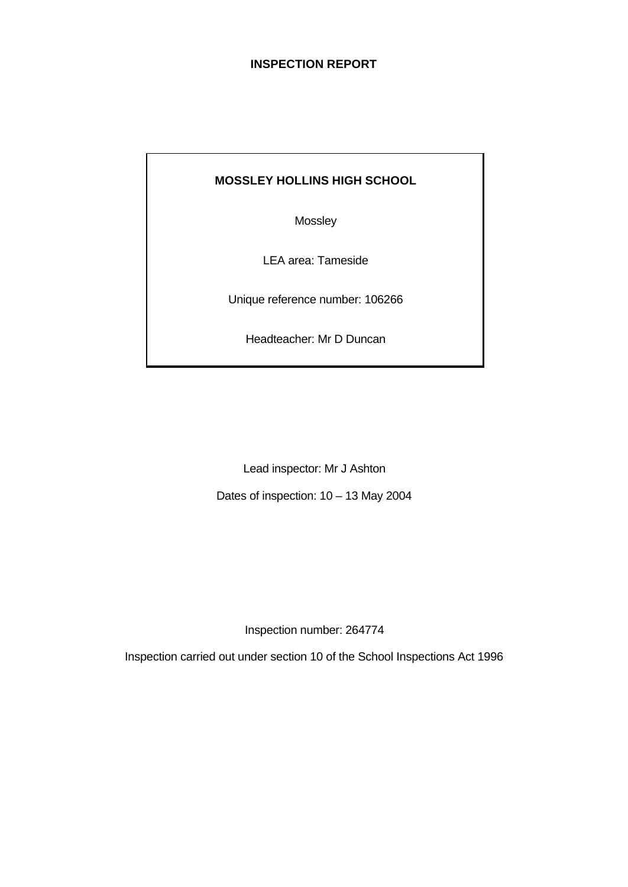# **INSPECTION REPORT**

# **MOSSLEY HOLLINS HIGH SCHOOL**

Mossley

LEA area: Tameside

Unique reference number: 106266

Headteacher: Mr D Duncan

Lead inspector: Mr J Ashton Dates of inspection: 10 – 13 May 2004

Inspection number: 264774

Inspection carried out under section 10 of the School Inspections Act 1996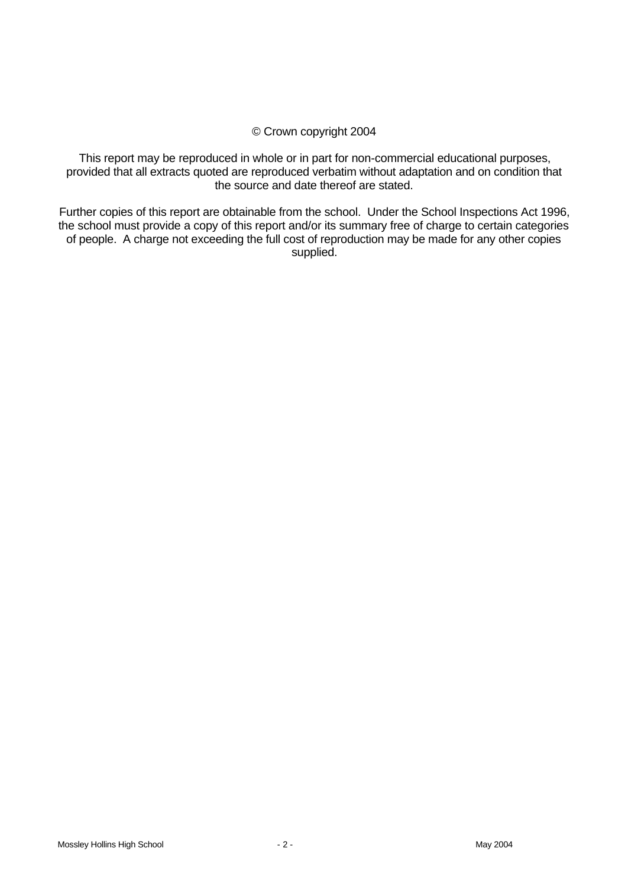## © Crown copyright 2004

This report may be reproduced in whole or in part for non-commercial educational purposes, provided that all extracts quoted are reproduced verbatim without adaptation and on condition that the source and date thereof are stated.

Further copies of this report are obtainable from the school. Under the School Inspections Act 1996, the school must provide a copy of this report and/or its summary free of charge to certain categories of people. A charge not exceeding the full cost of reproduction may be made for any other copies supplied.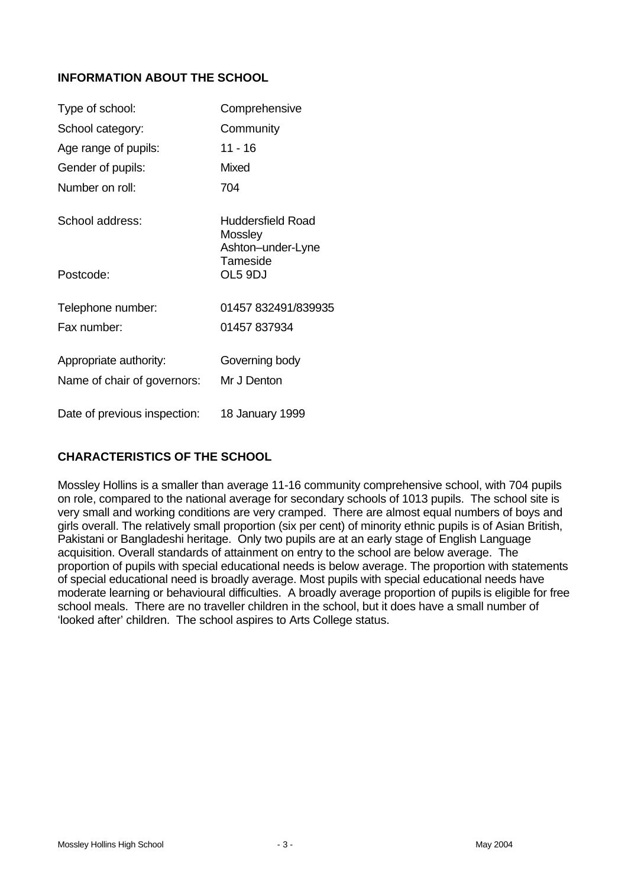# **INFORMATION ABOUT THE SCHOOL**

| Type of school:              | Comprehensive                                            |
|------------------------------|----------------------------------------------------------|
| School category:             | Community                                                |
| Age range of pupils:         | 11 - 16                                                  |
| Gender of pupils:            | Mixed                                                    |
| Number on roll:              | 704                                                      |
| School address:              | Huddersfield Road<br><b>Mossley</b><br>Ashton-under-Lyne |
| Postcode:                    | Tameside<br>OL5 9DJ                                      |
| Telephone number:            | 01457 832491/839935                                      |
| Fax number:                  | 01457 837934                                             |
| Appropriate authority:       | Governing body                                           |
| Name of chair of governors:  | Mr J Denton                                              |
| Date of previous inspection: | 18 January 1999                                          |

# **CHARACTERISTICS OF THE SCHOOL**

Mossley Hollins is a smaller than average 11-16 community comprehensive school, with 704 pupils on role, compared to the national average for secondary schools of 1013 pupils. The school site is very small and working conditions are very cramped. There are almost equal numbers of boys and girls overall. The relatively small proportion (six per cent) of minority ethnic pupils is of Asian British, Pakistani or Bangladeshi heritage. Only two pupils are at an early stage of English Language acquisition. Overall standards of attainment on entry to the school are below average. The proportion of pupils with special educational needs is below average. The proportion with statements of special educational need is broadly average. Most pupils with special educational needs have moderate learning or behavioural difficulties. A broadly average proportion of pupils is eligible for free school meals. There are no traveller children in the school, but it does have a small number of 'looked after' children. The school aspires to Arts College status.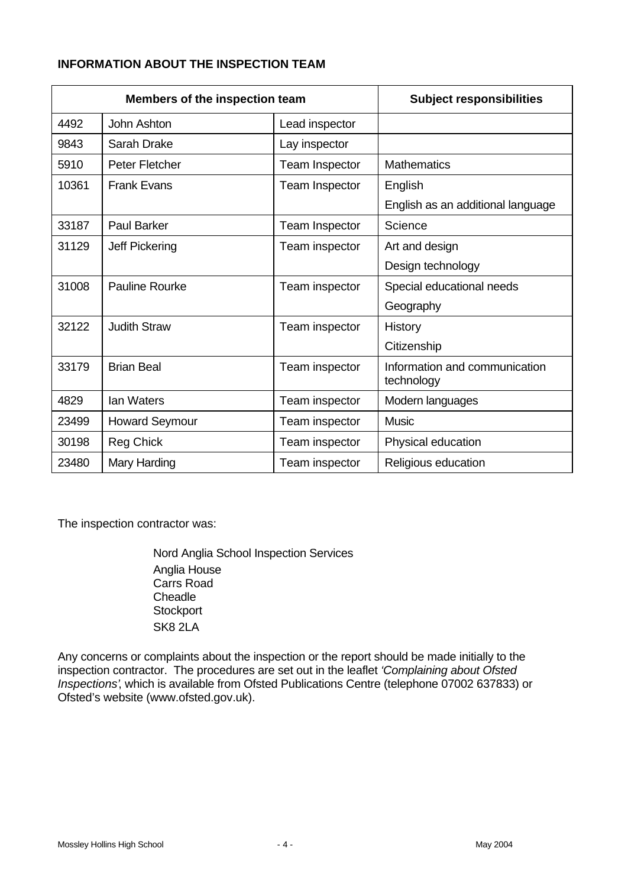# **INFORMATION ABOUT THE INSPECTION TEAM**

| Members of the inspection team |                       | <b>Subject responsibilities</b> |                                             |
|--------------------------------|-----------------------|---------------------------------|---------------------------------------------|
| 4492                           | John Ashton           | Lead inspector                  |                                             |
| 9843                           | Sarah Drake           | Lay inspector                   |                                             |
| 5910                           | Peter Fletcher        | Team Inspector                  | <b>Mathematics</b>                          |
| 10361                          | <b>Frank Evans</b>    | Team Inspector                  | English                                     |
|                                |                       |                                 | English as an additional language           |
| 33187                          | <b>Paul Barker</b>    | Team Inspector                  | Science                                     |
| 31129                          | Jeff Pickering        | Team inspector                  | Art and design                              |
|                                |                       |                                 | Design technology                           |
| 31008                          | Pauline Rourke        | Team inspector                  | Special educational needs                   |
|                                |                       |                                 | Geography                                   |
| 32122                          | <b>Judith Straw</b>   | Team inspector                  | History                                     |
|                                |                       |                                 | Citizenship                                 |
| 33179                          | <b>Brian Beal</b>     | Team inspector                  | Information and communication<br>technology |
| 4829                           | <b>lan Waters</b>     | Team inspector                  | Modern languages                            |
| 23499                          | <b>Howard Seymour</b> | Team inspector                  | <b>Music</b>                                |
| 30198                          | <b>Reg Chick</b>      | Team inspector                  | Physical education                          |
| 23480                          | Mary Harding          | Team inspector                  | Religious education                         |

The inspection contractor was:

Nord Anglia School Inspection Services Anglia House Carrs Road **Cheadle Stockport** SK8 2LA

Any concerns or complaints about the inspection or the report should be made initially to the inspection contractor. The procedures are set out in the leaflet *'Complaining about Ofsted Inspections'*, which is available from Ofsted Publications Centre (telephone 07002 637833) or Ofsted's website (www.ofsted.gov.uk).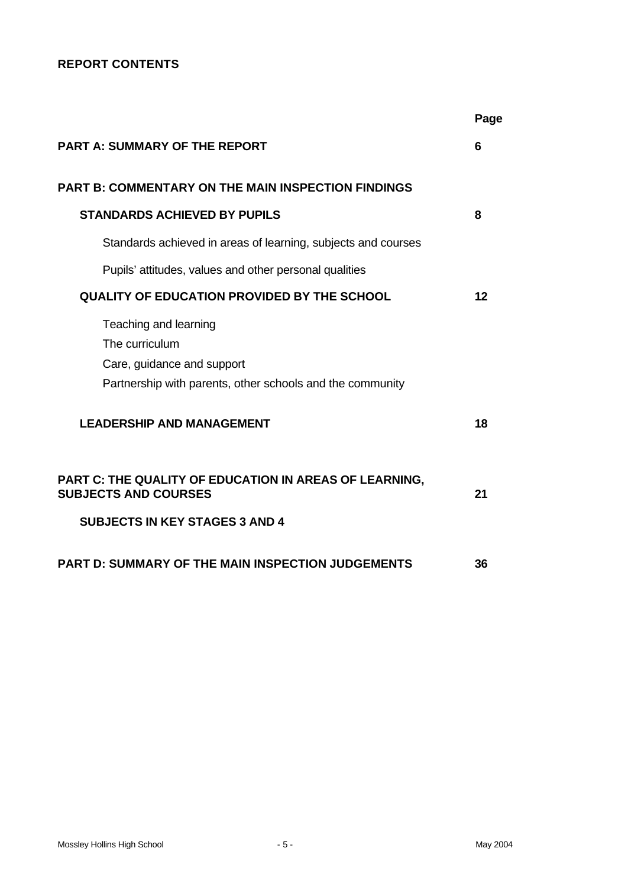# **REPORT CONTENTS**

|                                                                                                                                    | Page |
|------------------------------------------------------------------------------------------------------------------------------------|------|
| <b>PART A: SUMMARY OF THE REPORT</b>                                                                                               | 6    |
| <b>PART B: COMMENTARY ON THE MAIN INSPECTION FINDINGS</b>                                                                          |      |
| <b>STANDARDS ACHIEVED BY PUPILS</b>                                                                                                | 8    |
| Standards achieved in areas of learning, subjects and courses                                                                      |      |
| Pupils' attitudes, values and other personal qualities                                                                             |      |
| <b>QUALITY OF EDUCATION PROVIDED BY THE SCHOOL</b>                                                                                 | 12   |
| Teaching and learning<br>The curriculum<br>Care, guidance and support<br>Partnership with parents, other schools and the community |      |
| <b>LEADERSHIP AND MANAGEMENT</b>                                                                                                   | 18   |
| PART C: THE QUALITY OF EDUCATION IN AREAS OF LEARNING,<br><b>SUBJECTS AND COURSES</b>                                              | 21   |
| <b>SUBJECTS IN KEY STAGES 3 AND 4</b>                                                                                              |      |
| <b>PART D: SUMMARY OF THE MAIN INSPECTION JUDGEMENTS</b>                                                                           | 36   |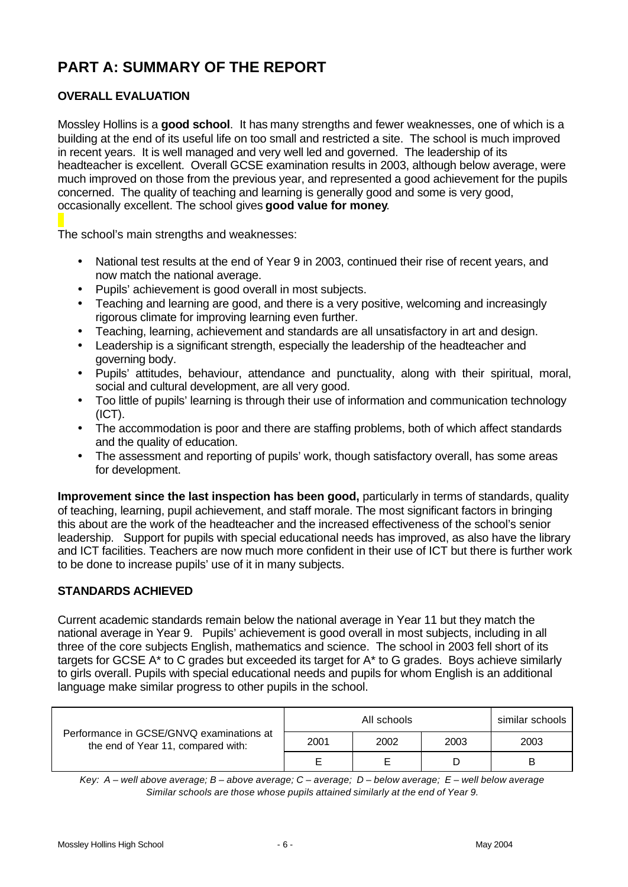# **PART A: SUMMARY OF THE REPORT**

# **OVERALL EVALUATION**

Mossley Hollins is a **good school**. It has many strengths and fewer weaknesses, one of which is a building at the end of its useful life on too small and restricted a site. The school is much improved in recent years. It is well managed and very well led and governed. The leadership of its headteacher is excellent. Overall GCSE examination results in 2003, although below average, were much improved on those from the previous year, and represented a good achievement for the pupils concerned. The quality of teaching and learning is generally good and some is very good, occasionally excellent. The school gives **good value for money**.

The school's main strengths and weaknesses:

- National test results at the end of Year 9 in 2003, continued their rise of recent years, and now match the national average.
- Pupils' achievement is good overall in most subjects.
- Teaching and learning are good, and there is a very positive, welcoming and increasingly rigorous climate for improving learning even further.
- Teaching, learning, achievement and standards are all unsatisfactory in art and design.
- Leadership is a significant strength, especially the leadership of the headteacher and governing body.
- Pupils' attitudes, behaviour, attendance and punctuality, along with their spiritual, moral, social and cultural development, are all very good.
- Too little of pupils' learning is through their use of information and communication technology (ICT).
- The accommodation is poor and there are staffing problems, both of which affect standards and the quality of education.
- The assessment and reporting of pupils' work, though satisfactory overall, has some areas for development.

**Improvement since the last inspection has been good,** particularly in terms of standards, quality of teaching, learning, pupil achievement, and staff morale. The most significant factors in bringing this about are the work of the headteacher and the increased effectiveness of the school's senior leadership. Support for pupils with special educational needs has improved, as also have the library and ICT facilities. Teachers are now much more confident in their use of ICT but there is further work to be done to increase pupils' use of it in many subjects.

# **STANDARDS ACHIEVED**

Current academic standards remain below the national average in Year 11 but they match the national average in Year 9. Pupils' achievement is good overall in most subjects, including in all three of the core subjects English, mathematics and science. The school in 2003 fell short of its targets for GCSE A\* to C grades but exceeded its target for A\* to G grades. Boys achieve similarly to girls overall. Pupils with special educational needs and pupils for whom English is an additional language make similar progress to other pupils in the school.

| Performance in GCSE/GNVQ examinations at<br>the end of Year 11, compared with: |      | similar schools |      |      |
|--------------------------------------------------------------------------------|------|-----------------|------|------|
|                                                                                | 2001 | 2002            | 2003 | 2003 |
|                                                                                | F    | F               |      | В    |

*Key: A – well above average; B – above average; C – average; D – below average; E – well below average Similar schools are those whose pupils attained similarly at the end of Year 9.*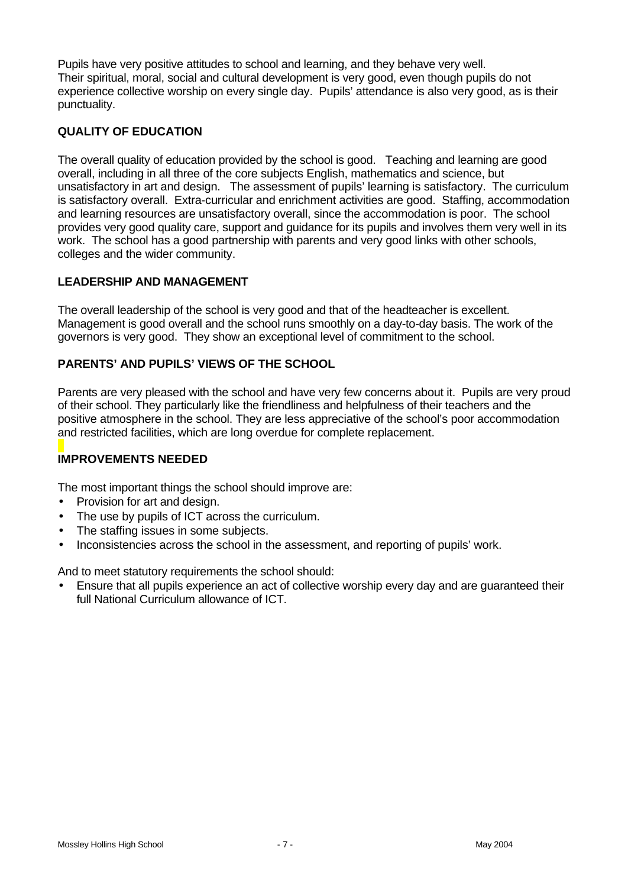Pupils have very positive attitudes to school and learning, and they behave very well. Their spiritual, moral, social and cultural development is very good, even though pupils do not experience collective worship on every single day. Pupils' attendance is also very good, as is their punctuality.

# **QUALITY OF EDUCATION**

The overall quality of education provided by the school is good. Teaching and learning are good overall, including in all three of the core subjects English, mathematics and science, but unsatisfactory in art and design. The assessment of pupils' learning is satisfactory. The curriculum is satisfactory overall. Extra-curricular and enrichment activities are good. Staffing, accommodation and learning resources are unsatisfactory overall, since the accommodation is poor. The school provides very good quality care, support and guidance for its pupils and involves them very well in its work. The school has a good partnership with parents and very good links with other schools, colleges and the wider community.

# **LEADERSHIP AND MANAGEMENT**

The overall leadership of the school is very good and that of the headteacher is excellent. Management is good overall and the school runs smoothly on a day-to-day basis. The work of the governors is very good. They show an exceptional level of commitment to the school.

# **PARENTS' AND PUPILS' VIEWS OF THE SCHOOL**

Parents are very pleased with the school and have very few concerns about it. Pupils are very proud of their school. They particularly like the friendliness and helpfulness of their teachers and the positive atmosphere in the school. They are less appreciative of the school's poor accommodation and restricted facilities, which are long overdue for complete replacement.

# **IMPROVEMENTS NEEDED**

The most important things the school should improve are:

- Provision for art and design.
- The use by pupils of ICT across the curriculum.
- The staffing issues in some subjects.
- Inconsistencies across the school in the assessment, and reporting of pupils' work.

And to meet statutory requirements the school should:

• Ensure that all pupils experience an act of collective worship every day and are guaranteed their full National Curriculum allowance of ICT.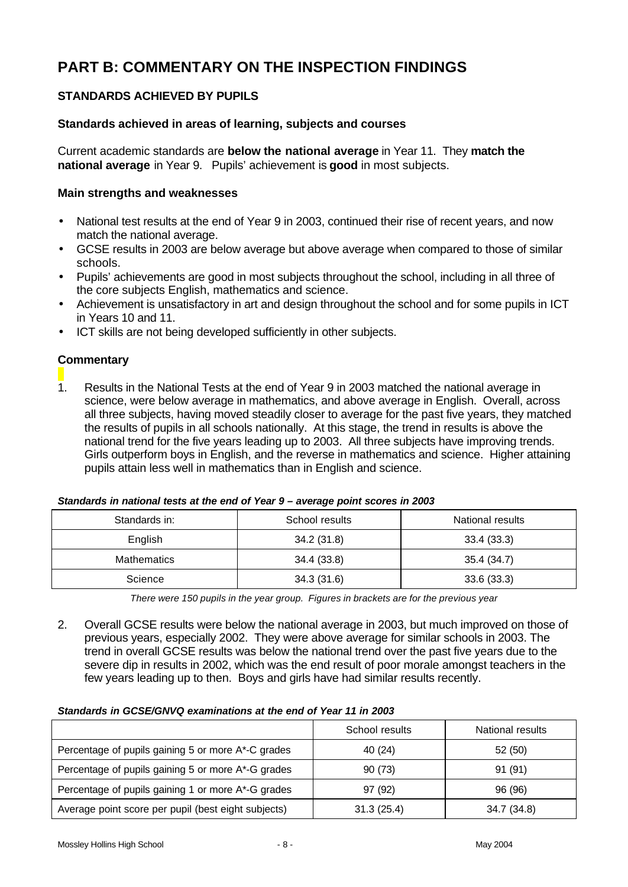# **PART B: COMMENTARY ON THE INSPECTION FINDINGS**

# **STANDARDS ACHIEVED BY PUPILS**

## **Standards achieved in areas of learning, subjects and courses**

Current academic standards are **below the national average** in Year 11. They **match the national average** in Year 9. Pupils' achievement is **good** in most subjects.

#### **Main strengths and weaknesses**

- National test results at the end of Year 9 in 2003, continued their rise of recent years, and now match the national average.
- GCSE results in 2003 are below average but above average when compared to those of similar schools.
- Pupils' achievements are good in most subjects throughout the school, including in all three of the core subjects English, mathematics and science.
- Achievement is unsatisfactory in art and design throughout the school and for some pupils in ICT in Years 10 and 11.
- ICT skills are not being developed sufficiently in other subjects.

## **Commentary**

1. Results in the National Tests at the end of Year 9 in 2003 matched the national average in science, were below average in mathematics, and above average in English. Overall, across all three subjects, having moved steadily closer to average for the past five years, they matched the results of pupils in all schools nationally. At this stage, the trend in results is above the national trend for the five years leading up to 2003. All three subjects have improving trends. Girls outperform boys in English, and the reverse in mathematics and science. Higher attaining pupils attain less well in mathematics than in English and science.

| Standards in:      | School results | National results |
|--------------------|----------------|------------------|
| English            | 34.2 (31.8)    | 33.4(33.3)       |
| <b>Mathematics</b> | 34.4 (33.8)    | 35.4 (34.7)      |
| Science            | 34.3(31.6)     | 33.6(33.3)       |

#### *Standards in national tests at the end of Year 9 – average point scores in 2003*

*There were 150 pupils in the year group. Figures in brackets are for the previous year*

2. Overall GCSE results were below the national average in 2003, but much improved on those of previous years, especially 2002. They were above average for similar schools in 2003. The trend in overall GCSE results was below the national trend over the past five years due to the severe dip in results in 2002, which was the end result of poor morale amongst teachers in the few years leading up to then. Boys and girls have had similar results recently.

#### *Standards in GCSE/GNVQ examinations at the end of Year 11 in 2003*

|                                                     | School results | National results |
|-----------------------------------------------------|----------------|------------------|
| Percentage of pupils gaining 5 or more A*-C grades  | 40 (24)        | 52 (50)          |
| Percentage of pupils gaining 5 or more A*-G grades  | 90(73)         | 91(91)           |
| Percentage of pupils gaining 1 or more A*-G grades  | 97 (92)        | 96 (96)          |
| Average point score per pupil (best eight subjects) | 31.3(25.4)     | 34.7 (34.8)      |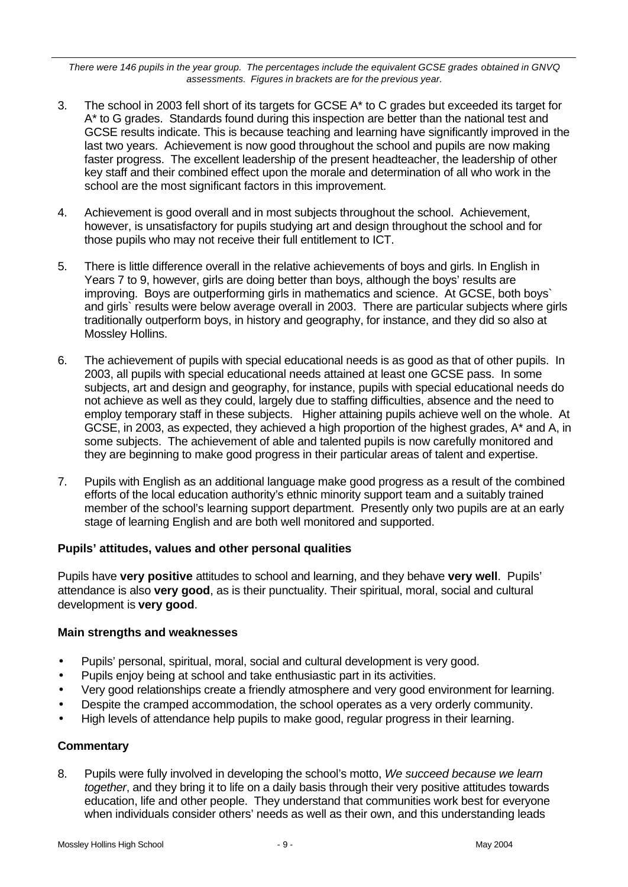*There were 146 pupils in the year group. The percentages include the equivalent GCSE grades obtained in GNVQ assessments. Figures in brackets are for the previous year.*

- 3. The school in 2003 fell short of its targets for GCSE A\* to C grades but exceeded its target for A\* to G grades. Standards found during this inspection are better than the national test and GCSE results indicate. This is because teaching and learning have significantly improved in the last two years. Achievement is now good throughout the school and pupils are now making faster progress. The excellent leadership of the present headteacher, the leadership of other key staff and their combined effect upon the morale and determination of all who work in the school are the most significant factors in this improvement.
- 4. Achievement is good overall and in most subjects throughout the school. Achievement, however, is unsatisfactory for pupils studying art and design throughout the school and for those pupils who may not receive their full entitlement to ICT.
- 5. There is little difference overall in the relative achievements of boys and girls. In English in Years 7 to 9, however, girls are doing better than boys, although the boys' results are improving. Boys are outperforming girls in mathematics and science. At GCSE, both boys` and girls` results were below average overall in 2003. There are particular subjects where girls traditionally outperform boys, in history and geography, for instance, and they did so also at Mossley Hollins.
- 6. The achievement of pupils with special educational needs is as good as that of other pupils. In 2003, all pupils with special educational needs attained at least one GCSE pass. In some subjects, art and design and geography, for instance, pupils with special educational needs do not achieve as well as they could, largely due to staffing difficulties, absence and the need to employ temporary staff in these subjects. Higher attaining pupils achieve well on the whole. At GCSE, in 2003, as expected, they achieved a high proportion of the highest grades, A\* and A, in some subjects. The achievement of able and talented pupils is now carefully monitored and they are beginning to make good progress in their particular areas of talent and expertise.
- 7. Pupils with English as an additional language make good progress as a result of the combined efforts of the local education authority's ethnic minority support team and a suitably trained member of the school's learning support department. Presently only two pupils are at an early stage of learning English and are both well monitored and supported.

#### **Pupils' attitudes, values and other personal qualities**

Pupils have **very positive** attitudes to school and learning, and they behave **very well**. Pupils' attendance is also **very good**, as is their punctuality. Their spiritual, moral, social and cultural development is **very good**.

#### **Main strengths and weaknesses**

- Pupils' personal, spiritual, moral, social and cultural development is very good.
- Pupils enjoy being at school and take enthusiastic part in its activities.
- Very good relationships create a friendly atmosphere and very good environment for learning.
- Despite the cramped accommodation, the school operates as a very orderly community.
- High levels of attendance help pupils to make good, regular progress in their learning.

#### **Commentary**

8. Pupils were fully involved in developing the school's motto, *We succeed because we learn together*, and they bring it to life on a daily basis through their very positive attitudes towards education, life and other people. They understand that communities work best for everyone when individuals consider others' needs as well as their own, and this understanding leads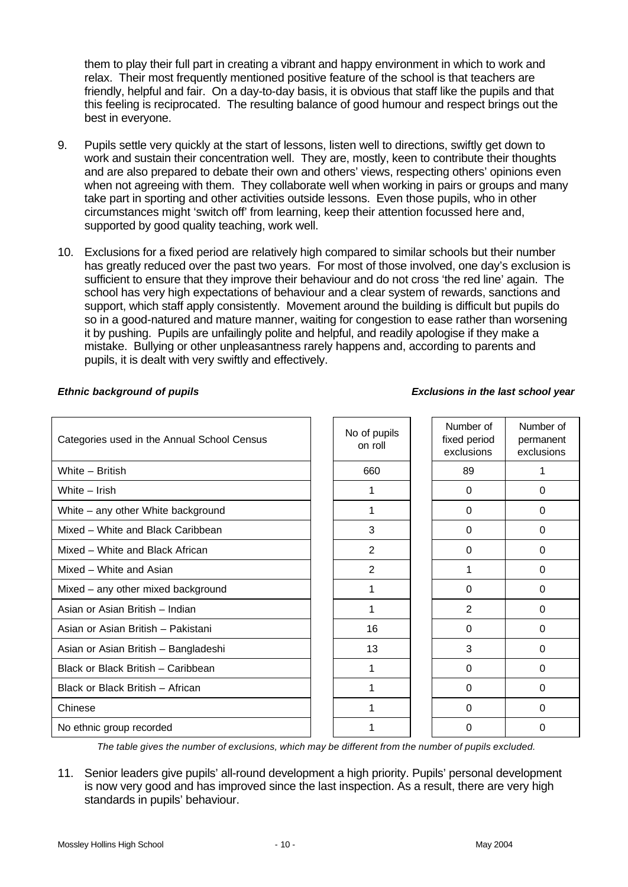them to play their full part in creating a vibrant and happy environment in which to work and relax. Their most frequently mentioned positive feature of the school is that teachers are friendly, helpful and fair. On a day-to-day basis, it is obvious that staff like the pupils and that this feeling is reciprocated. The resulting balance of good humour and respect brings out the best in everyone.

- 9. Pupils settle very quickly at the start of lessons, listen well to directions, swiftly get down to work and sustain their concentration well. They are, mostly, keen to contribute their thoughts and are also prepared to debate their own and others' views, respecting others' opinions even when not agreeing with them. They collaborate well when working in pairs or groups and many take part in sporting and other activities outside lessons. Even those pupils, who in other circumstances might 'switch off' from learning, keep their attention focussed here and, supported by good quality teaching, work well.
- 10. Exclusions for a fixed period are relatively high compared to similar schools but their number has greatly reduced over the past two years. For most of those involved, one day's exclusion is sufficient to ensure that they improve their behaviour and do not cross 'the red line' again. The school has very high expectations of behaviour and a clear system of rewards, sanctions and support, which staff apply consistently. Movement around the building is difficult but pupils do so in a good-natured and mature manner, waiting for congestion to ease rather than worsening it by pushing. Pupils are unfailingly polite and helpful, and readily apologise if they make a mistake. Bullying or other unpleasantness rarely happens and, according to parents and pupils, it is dealt with very swiftly and effectively.

| Categories used in the Annual School Census | No of pupils<br>on roll | Number of<br>fixed period<br>exclusions | Number of<br>permanent<br>exclusions |
|---------------------------------------------|-------------------------|-----------------------------------------|--------------------------------------|
| White - British                             | 660                     | 89                                      | 1                                    |
| White - Irish                               |                         | 0                                       | 0                                    |
| White - any other White background          |                         | $\Omega$                                | $\Omega$                             |
| Mixed - White and Black Caribbean           | 3                       | $\Omega$                                | 0                                    |
| Mixed - White and Black African             | 2                       | 0                                       | 0                                    |
| Mixed - White and Asian                     | $\overline{2}$          | 1                                       | $\Omega$                             |
| Mixed - any other mixed background          | 1                       | $\Omega$                                | $\Omega$                             |
| Asian or Asian British - Indian             |                         | $\mathbf{2}$                            | 0                                    |
| Asian or Asian British - Pakistani          | 16                      | 0                                       | 0                                    |
| Asian or Asian British - Bangladeshi        | 13                      | 3                                       | $\Omega$                             |
| Black or Black British - Caribbean          | 1                       | 0                                       | 0                                    |
| Black or Black British - African            |                         | 0                                       | 0                                    |
| Chinese                                     |                         | $\Omega$                                | 0                                    |
| No ethnic group recorded                    |                         | 0                                       | 0                                    |

#### *Ethnic background of pupils Exclusions in the last school year*

*The table gives the number of exclusions, which may be different from the number of pupils excluded.*

11. Senior leaders give pupils' all-round development a high priority. Pupils' personal development is now very good and has improved since the last inspection. As a result, there are very high standards in pupils' behaviour.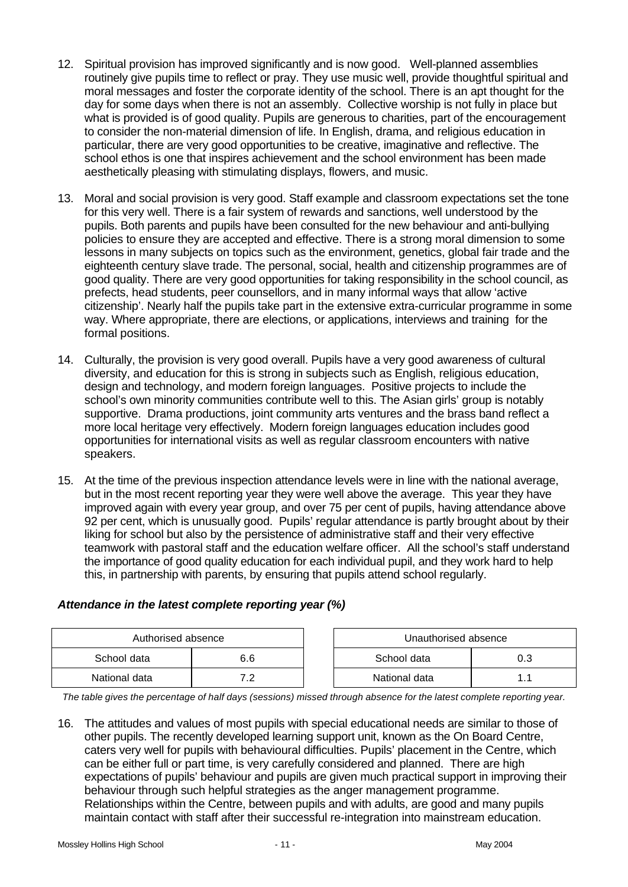- 12. Spiritual provision has improved significantly and is now good. Well-planned assemblies routinely give pupils time to reflect or pray. They use music well, provide thoughtful spiritual and moral messages and foster the corporate identity of the school. There is an apt thought for the day for some days when there is not an assembly. Collective worship is not fully in place but what is provided is of good quality. Pupils are generous to charities, part of the encouragement to consider the non-material dimension of life. In English, drama, and religious education in particular, there are very good opportunities to be creative, imaginative and reflective. The school ethos is one that inspires achievement and the school environment has been made aesthetically pleasing with stimulating displays, flowers, and music.
- 13. Moral and social provision is very good. Staff example and classroom expectations set the tone for this very well. There is a fair system of rewards and sanctions, well understood by the pupils. Both parents and pupils have been consulted for the new behaviour and anti-bullying policies to ensure they are accepted and effective. There is a strong moral dimension to some lessons in many subjects on topics such as the environment, genetics, global fair trade and the eighteenth century slave trade. The personal, social, health and citizenship programmes are of good quality. There are very good opportunities for taking responsibility in the school council, as prefects, head students, peer counsellors, and in many informal ways that allow 'active citizenship'. Nearly half the pupils take part in the extensive extra-curricular programme in some way. Where appropriate, there are elections, or applications, interviews and training for the formal positions.
- 14. Culturally, the provision is very good overall. Pupils have a very good awareness of cultural diversity, and education for this is strong in subjects such as English, religious education, design and technology, and modern foreign languages. Positive projects to include the school's own minority communities contribute well to this. The Asian girls' group is notably supportive. Drama productions, joint community arts ventures and the brass band reflect a more local heritage very effectively. Modern foreign languages education includes good opportunities for international visits as well as regular classroom encounters with native speakers.
- 15. At the time of the previous inspection attendance levels were in line with the national average, but in the most recent reporting year they were well above the average. This year they have improved again with every year group, and over 75 per cent of pupils, having attendance above 92 per cent, which is unusually good. Pupils' regular attendance is partly brought about by their liking for school but also by the persistence of administrative staff and their very effective teamwork with pastoral staff and the education welfare officer. All the school's staff understand the importance of good quality education for each individual pupil, and they work hard to help this, in partnership with parents, by ensuring that pupils attend school regularly.

# *Attendance in the latest complete reporting year (%)*

| Authorised absence |     |  | Unauthorised absence |  |  |
|--------------------|-----|--|----------------------|--|--|
| School data        | 6.6 |  | School data          |  |  |
| National data      | . . |  | National data        |  |  |

*The table gives the percentage of half days (sessions) missed through absence for the latest complete reporting year.*

16. The attitudes and values of most pupils with special educational needs are similar to those of other pupils. The recently developed learning support unit, known as the On Board Centre, caters very well for pupils with behavioural difficulties. Pupils' placement in the Centre, which can be either full or part time, is very carefully considered and planned. There are high expectations of pupils' behaviour and pupils are given much practical support in improving their behaviour through such helpful strategies as the anger management programme. Relationships within the Centre, between pupils and with adults, are good and many pupils maintain contact with staff after their successful re-integration into mainstream education.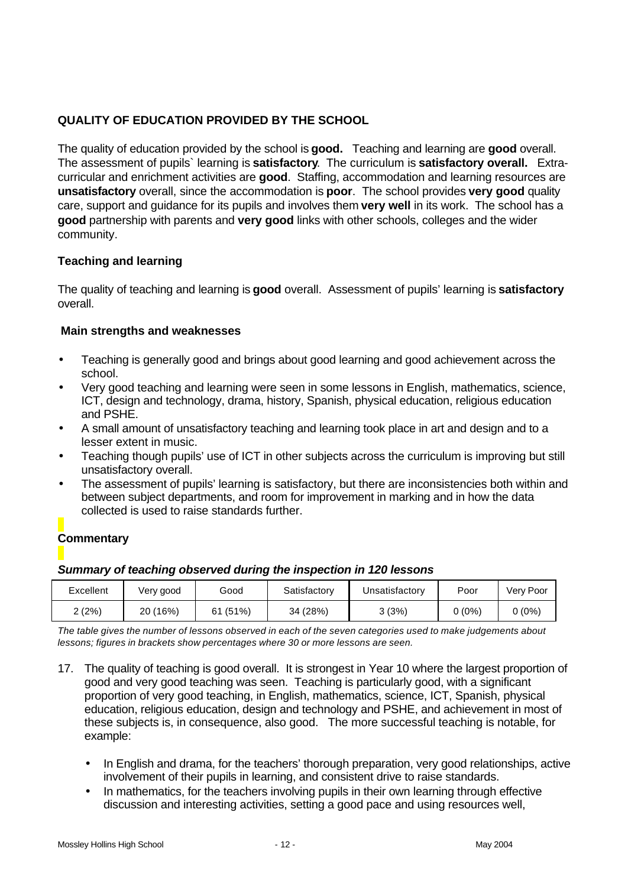# **QUALITY OF EDUCATION PROVIDED BY THE SCHOOL**

The quality of education provided by the school is **good.** Teaching and learning are **good** overall. The assessment of pupils` learning is **satisfactory**. The curriculum is **satisfactory overall.** Extracurricular and enrichment activities are **good**. Staffing, accommodation and learning resources are **unsatisfactory** overall, since the accommodation is **poor**. The school provides **very good** quality care, support and guidance for its pupils and involves them **very well** in its work. The school has a **good** partnership with parents and **very good** links with other schools, colleges and the wider community.

## **Teaching and learning**

The quality of teaching and learning is **good** overall. Assessment of pupils' learning is **satisfactory** overall.

#### **Main strengths and weaknesses**

- Teaching is generally good and brings about good learning and good achievement across the school.
- Very good teaching and learning were seen in some lessons in English, mathematics, science, ICT, design and technology, drama, history, Spanish, physical education, religious education and PSHE.
- A small amount of unsatisfactory teaching and learning took place in art and design and to a lesser extent in music.
- Teaching though pupils' use of ICT in other subjects across the curriculum is improving but still unsatisfactory overall.
- The assessment of pupils' learning is satisfactory, but there are inconsistencies both within and between subject departments, and room for improvement in marking and in how the data collected is used to raise standards further.

# **Commentary**

#### *Summary of teaching observed during the inspection in 120 lessons*

| Excellent | Very good   | Good        | Satisfactory | Unsatisfactory | Poor   | Verv Poor |
|-----------|-------------|-------------|--------------|----------------|--------|-----------|
| 2 (2%)    | (16%)<br>20 | (51%)<br>61 | 34 (28%)     | 3 (3%)         | 0 (0%) | 0 (0%)    |

*The table gives the number of lessons observed in each of the seven categories used to make judgements about lessons; figures in brackets show percentages where 30 or more lessons are seen.*

- 17. The quality of teaching is good overall. It is strongest in Year 10 where the largest proportion of good and very good teaching was seen. Teaching is particularly good, with a significant proportion of very good teaching, in English, mathematics, science, ICT, Spanish, physical education, religious education, design and technology and PSHE, and achievement in most of these subjects is, in consequence, also good. The more successful teaching is notable, for example:
	- In English and drama, for the teachers' thorough preparation, very good relationships, active involvement of their pupils in learning, and consistent drive to raise standards.
	- In mathematics, for the teachers involving pupils in their own learning through effective discussion and interesting activities, setting a good pace and using resources well,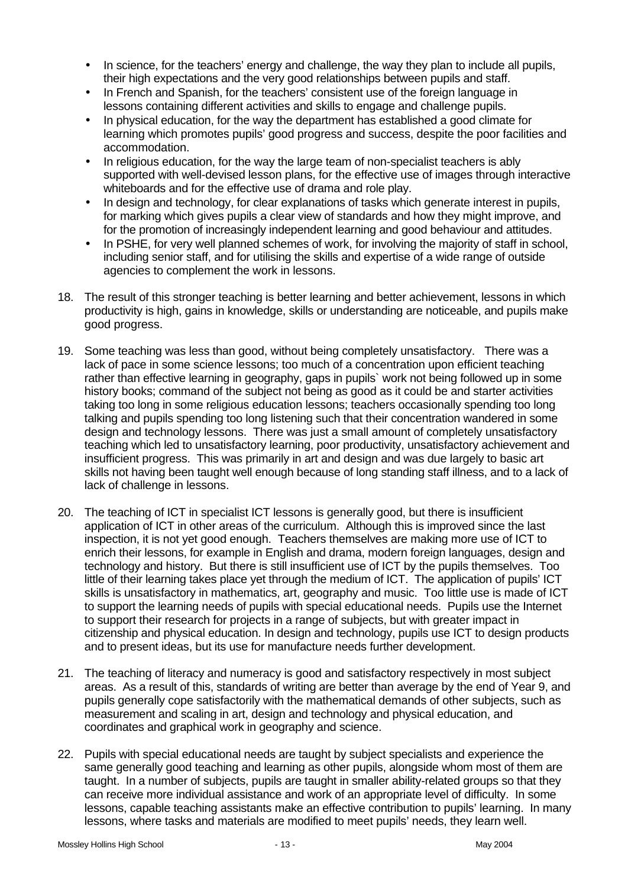- In science, for the teachers' energy and challenge, the way they plan to include all pupils, their high expectations and the very good relationships between pupils and staff.
- In French and Spanish, for the teachers' consistent use of the foreign language in lessons containing different activities and skills to engage and challenge pupils.
- In physical education, for the way the department has established a good climate for learning which promotes pupils' good progress and success, despite the poor facilities and accommodation.
- In religious education, for the way the large team of non-specialist teachers is ably supported with well-devised lesson plans, for the effective use of images through interactive whiteboards and for the effective use of drama and role play.
- In design and technology, for clear explanations of tasks which generate interest in pupils, for marking which gives pupils a clear view of standards and how they might improve, and for the promotion of increasingly independent learning and good behaviour and attitudes.
- In PSHE, for very well planned schemes of work, for involving the majority of staff in school, including senior staff, and for utilising the skills and expertise of a wide range of outside agencies to complement the work in lessons.
- 18. The result of this stronger teaching is better learning and better achievement, lessons in which productivity is high, gains in knowledge, skills or understanding are noticeable, and pupils make good progress.
- 19. Some teaching was less than good, without being completely unsatisfactory. There was a lack of pace in some science lessons; too much of a concentration upon efficient teaching rather than effective learning in geography, gaps in pupils` work not being followed up in some history books; command of the subject not being as good as it could be and starter activities taking too long in some religious education lessons; teachers occasionally spending too long talking and pupils spending too long listening such that their concentration wandered in some design and technology lessons. There was just a small amount of completely unsatisfactory teaching which led to unsatisfactory learning, poor productivity, unsatisfactory achievement and insufficient progress. This was primarily in art and design and was due largely to basic art skills not having been taught well enough because of long standing staff illness, and to a lack of lack of challenge in lessons.
- 20. The teaching of ICT in specialist ICT lessons is generally good, but there is insufficient application of ICT in other areas of the curriculum. Although this is improved since the last inspection, it is not yet good enough. Teachers themselves are making more use of ICT to enrich their lessons, for example in English and drama, modern foreign languages, design and technology and history. But there is still insufficient use of ICT by the pupils themselves. Too little of their learning takes place yet through the medium of ICT. The application of pupils' ICT skills is unsatisfactory in mathematics, art, geography and music. Too little use is made of ICT to support the learning needs of pupils with special educational needs. Pupils use the Internet to support their research for projects in a range of subjects, but with greater impact in citizenship and physical education. In design and technology, pupils use ICT to design products and to present ideas, but its use for manufacture needs further development.
- 21. The teaching of literacy and numeracy is good and satisfactory respectively in most subject areas. As a result of this, standards of writing are better than average by the end of Year 9, and pupils generally cope satisfactorily with the mathematical demands of other subjects, such as measurement and scaling in art, design and technology and physical education, and coordinates and graphical work in geography and science.
- 22. Pupils with special educational needs are taught by subject specialists and experience the same generally good teaching and learning as other pupils, alongside whom most of them are taught. In a number of subjects, pupils are taught in smaller ability-related groups so that they can receive more individual assistance and work of an appropriate level of difficulty. In some lessons, capable teaching assistants make an effective contribution to pupils' learning. In many lessons, where tasks and materials are modified to meet pupils' needs, they learn well.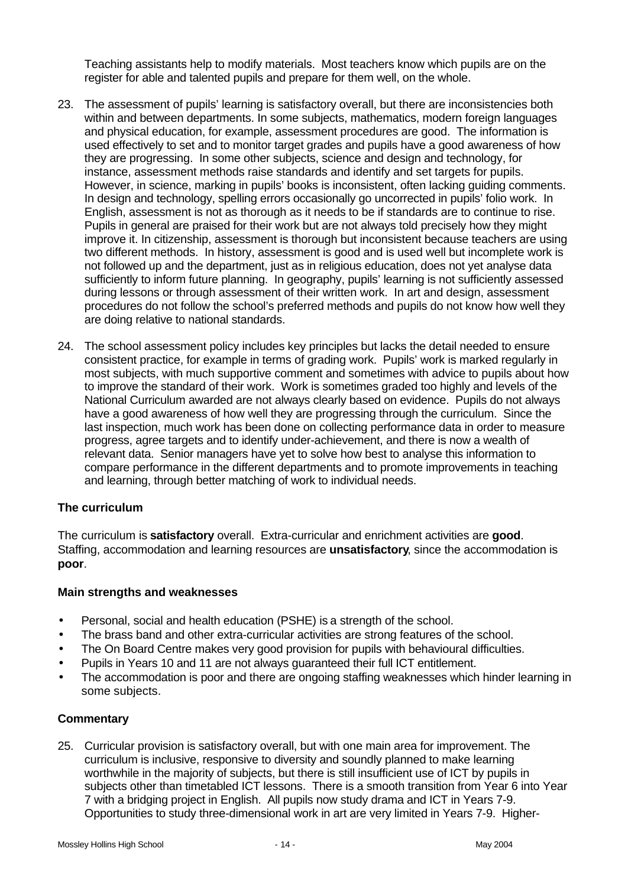Teaching assistants help to modify materials. Most teachers know which pupils are on the register for able and talented pupils and prepare for them well, on the whole.

- 23. The assessment of pupils' learning is satisfactory overall, but there are inconsistencies both within and between departments. In some subjects, mathematics, modern foreign languages and physical education, for example, assessment procedures are good. The information is used effectively to set and to monitor target grades and pupils have a good awareness of how they are progressing. In some other subjects, science and design and technology, for instance, assessment methods raise standards and identify and set targets for pupils. However, in science, marking in pupils' books is inconsistent, often lacking guiding comments. In design and technology, spelling errors occasionally go uncorrected in pupils' folio work. In English, assessment is not as thorough as it needs to be if standards are to continue to rise. Pupils in general are praised for their work but are not always told precisely how they might improve it. In citizenship, assessment is thorough but inconsistent because teachers are using two different methods. In history, assessment is good and is used well but incomplete work is not followed up and the department, just as in religious education, does not yet analyse data sufficiently to inform future planning. In geography, pupils' learning is not sufficiently assessed during lessons or through assessment of their written work. In art and design, assessment procedures do not follow the school's preferred methods and pupils do not know how well they are doing relative to national standards.
- 24. The school assessment policy includes key principles but lacks the detail needed to ensure consistent practice, for example in terms of grading work. Pupils' work is marked regularly in most subjects, with much supportive comment and sometimes with advice to pupils about how to improve the standard of their work. Work is sometimes graded too highly and levels of the National Curriculum awarded are not always clearly based on evidence. Pupils do not always have a good awareness of how well they are progressing through the curriculum. Since the last inspection, much work has been done on collecting performance data in order to measure progress, agree targets and to identify under-achievement, and there is now a wealth of relevant data. Senior managers have yet to solve how best to analyse this information to compare performance in the different departments and to promote improvements in teaching and learning, through better matching of work to individual needs.

#### **The curriculum**

The curriculum is **satisfactory** overall. Extra-curricular and enrichment activities are **good**. Staffing, accommodation and learning resources are **unsatisfactory**, since the accommodation is **poor**.

#### **Main strengths and weaknesses**

- Personal, social and health education (PSHE) is a strength of the school.
- The brass band and other extra-curricular activities are strong features of the school.
- The On Board Centre makes very good provision for pupils with behavioural difficulties.
- Pupils in Years 10 and 11 are not always guaranteed their full ICT entitlement.
- The accommodation is poor and there are ongoing staffing weaknesses which hinder learning in some subjects.

#### **Commentary**

25. Curricular provision is satisfactory overall, but with one main area for improvement. The curriculum is inclusive, responsive to diversity and soundly planned to make learning worthwhile in the majority of subjects, but there is still insufficient use of ICT by pupils in subjects other than timetabled ICT lessons. There is a smooth transition from Year 6 into Year 7 with a bridging project in English. All pupils now study drama and ICT in Years 7-9. Opportunities to study three-dimensional work in art are very limited in Years 7-9. Higher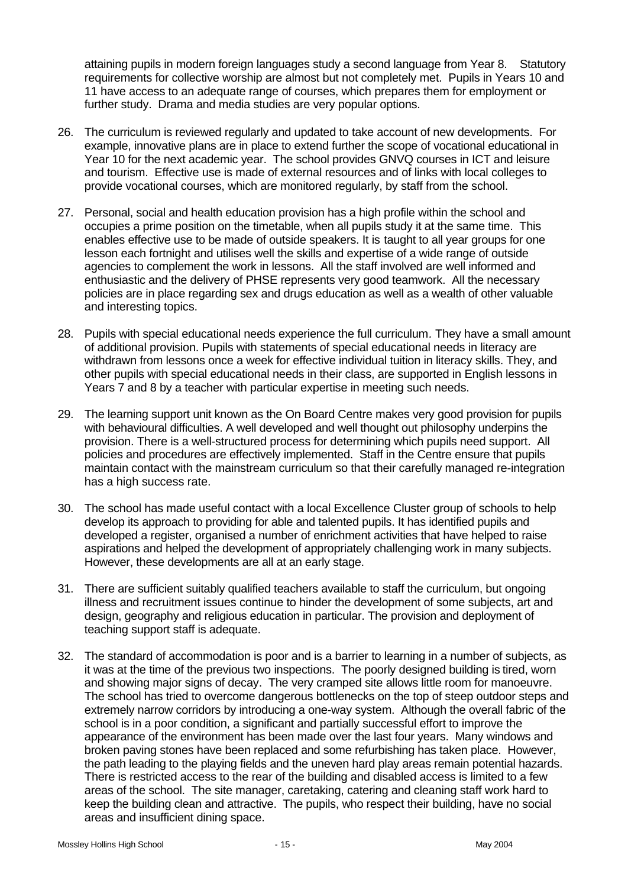attaining pupils in modern foreign languages study a second language from Year 8. Statutory requirements for collective worship are almost but not completely met. Pupils in Years 10 and 11 have access to an adequate range of courses, which prepares them for employment or further study. Drama and media studies are very popular options.

- 26. The curriculum is reviewed regularly and updated to take account of new developments. For example, innovative plans are in place to extend further the scope of vocational educational in Year 10 for the next academic year. The school provides GNVQ courses in ICT and leisure and tourism. Effective use is made of external resources and of links with local colleges to provide vocational courses, which are monitored regularly, by staff from the school.
- 27. Personal, social and health education provision has a high profile within the school and occupies a prime position on the timetable, when all pupils study it at the same time. This enables effective use to be made of outside speakers. It is taught to all year groups for one lesson each fortnight and utilises well the skills and expertise of a wide range of outside agencies to complement the work in lessons. All the staff involved are well informed and enthusiastic and the delivery of PHSE represents very good teamwork. All the necessary policies are in place regarding sex and drugs education as well as a wealth of other valuable and interesting topics.
- 28. Pupils with special educational needs experience the full curriculum*.* They have a small amount of additional provision. Pupils with statements of special educational needs in literacy are withdrawn from lessons once a week for effective individual tuition in literacy skills. They, and other pupils with special educational needs in their class, are supported in English lessons in Years 7 and 8 by a teacher with particular expertise in meeting such needs.
- 29. The learning support unit known as the On Board Centre makes very good provision for pupils with behavioural difficulties. A well developed and well thought out philosophy underpins the provision. There is a well-structured process for determining which pupils need support. All policies and procedures are effectively implemented. Staff in the Centre ensure that pupils maintain contact with the mainstream curriculum so that their carefully managed re-integration has a high success rate.
- 30. The school has made useful contact with a local Excellence Cluster group of schools to help develop its approach to providing for able and talented pupils. It has identified pupils and developed a register, organised a number of enrichment activities that have helped to raise aspirations and helped the development of appropriately challenging work in many subjects. However, these developments are all at an early stage.
- 31. There are sufficient suitably qualified teachers available to staff the curriculum, but ongoing illness and recruitment issues continue to hinder the development of some subjects, art and design, geography and religious education in particular. The provision and deployment of teaching support staff is adequate.
- 32. The standard of accommodation is poor and is a barrier to learning in a number of subjects, as it was at the time of the previous two inspections. The poorly designed building is tired, worn and showing major signs of decay. The very cramped site allows little room for manoeuvre. The school has tried to overcome dangerous bottlenecks on the top of steep outdoor steps and extremely narrow corridors by introducing a one-way system. Although the overall fabric of the school is in a poor condition, a significant and partially successful effort to improve the appearance of the environment has been made over the last four years. Many windows and broken paving stones have been replaced and some refurbishing has taken place. However, the path leading to the playing fields and the uneven hard play areas remain potential hazards. There is restricted access to the rear of the building and disabled access is limited to a few areas of the school. The site manager, caretaking, catering and cleaning staff work hard to keep the building clean and attractive. The pupils, who respect their building, have no social areas and insufficient dining space.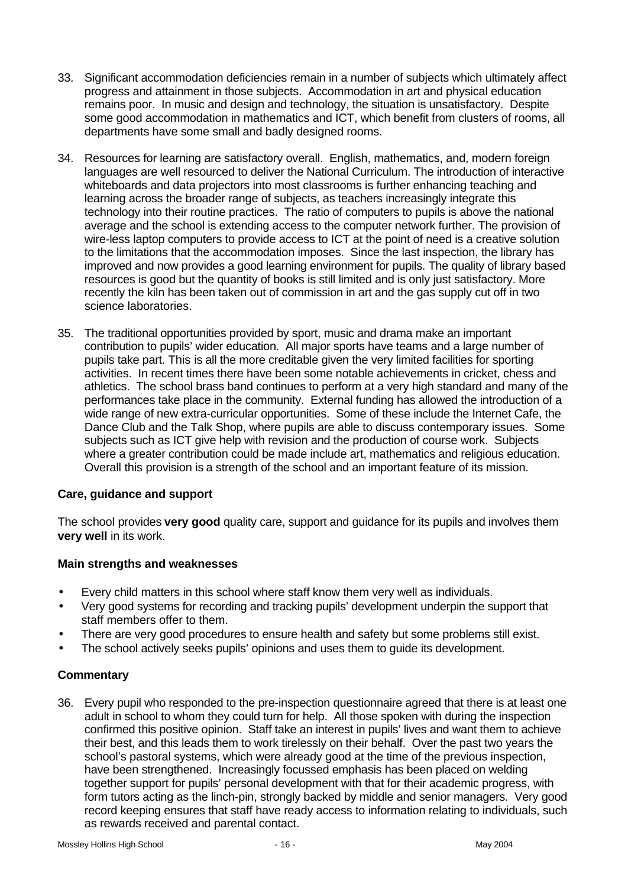- 33. Significant accommodation deficiencies remain in a number of subjects which ultimately affect progress and attainment in those subjects. Accommodation in art and physical education remains poor. In music and design and technology, the situation is unsatisfactory. Despite some good accommodation in mathematics and ICT, which benefit from clusters of rooms, all departments have some small and badly designed rooms.
- 34. Resources for learning are satisfactory overall. English, mathematics, and, modern foreign languages are well resourced to deliver the National Curriculum. The introduction of interactive whiteboards and data projectors into most classrooms is further enhancing teaching and learning across the broader range of subjects, as teachers increasingly integrate this technology into their routine practices. The ratio of computers to pupils is above the national average and the school is extending access to the computer network further. The provision of wire-less laptop computers to provide access to ICT at the point of need is a creative solution to the limitations that the accommodation imposes. Since the last inspection, the library has improved and now provides a good learning environment for pupils. The quality of library based resources is good but the quantity of books is still limited and is only just satisfactory. More recently the kiln has been taken out of commission in art and the gas supply cut off in two science laboratories.
- 35. The traditional opportunities provided by sport, music and drama make an important contribution to pupils' wider education. All major sports have teams and a large number of pupils take part. This is all the more creditable given the very limited facilities for sporting activities. In recent times there have been some notable achievements in cricket, chess and athletics. The school brass band continues to perform at a very high standard and many of the performances take place in the community. External funding has allowed the introduction of a wide range of new extra-curricular opportunities. Some of these include the Internet Cafe, the Dance Club and the Talk Shop, where pupils are able to discuss contemporary issues. Some subjects such as ICT give help with revision and the production of course work. Subjects where a greater contribution could be made include art, mathematics and religious education. Overall this provision is a strength of the school and an important feature of its mission.

# **Care, guidance and support**

The school provides **very good** quality care, support and guidance for its pupils and involves them **very well** in its work.

#### **Main strengths and weaknesses**

- Every child matters in this school where staff know them very well as individuals.
- Very good systems for recording and tracking pupils' development underpin the support that staff members offer to them.
- There are very good procedures to ensure health and safety but some problems still exist.
- The school actively seeks pupils' opinions and uses them to guide its development.

# **Commentary**

36. Every pupil who responded to the pre-inspection questionnaire agreed that there is at least one adult in school to whom they could turn for help. All those spoken with during the inspection confirmed this positive opinion. Staff take an interest in pupils' lives and want them to achieve their best, and this leads them to work tirelessly on their behalf. Over the past two years the school's pastoral systems, which were already good at the time of the previous inspection, have been strengthened. Increasingly focussed emphasis has been placed on welding together support for pupils' personal development with that for their academic progress, with form tutors acting as the linch-pin, strongly backed by middle and senior managers. Very good record keeping ensures that staff have ready access to information relating to individuals, such as rewards received and parental contact.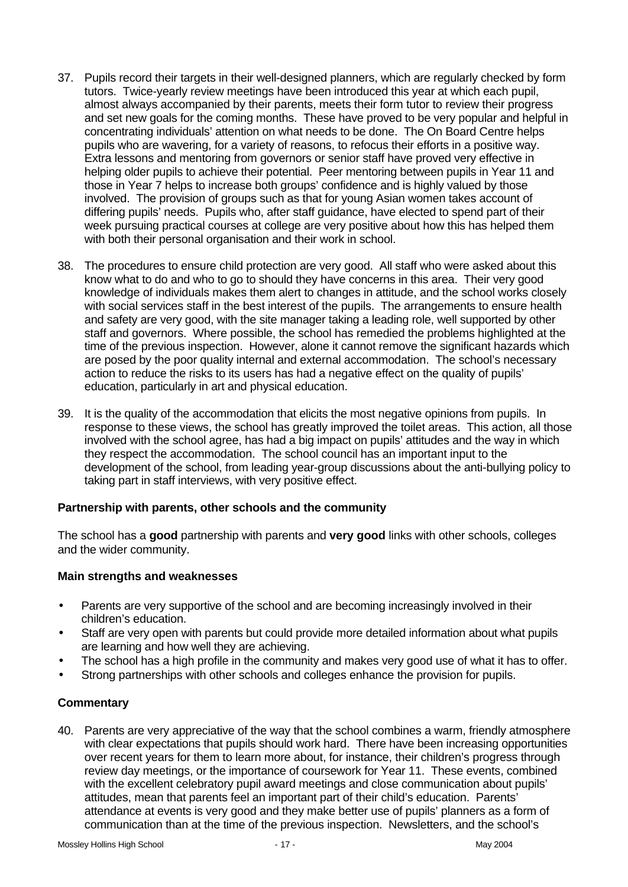- 37. Pupils record their targets in their well-designed planners, which are regularly checked by form tutors. Twice-yearly review meetings have been introduced this year at which each pupil, almost always accompanied by their parents, meets their form tutor to review their progress and set new goals for the coming months. These have proved to be very popular and helpful in concentrating individuals' attention on what needs to be done. The On Board Centre helps pupils who are wavering, for a variety of reasons, to refocus their efforts in a positive way. Extra lessons and mentoring from governors or senior staff have proved very effective in helping older pupils to achieve their potential. Peer mentoring between pupils in Year 11 and those in Year 7 helps to increase both groups' confidence and is highly valued by those involved. The provision of groups such as that for young Asian women takes account of differing pupils' needs. Pupils who, after staff guidance, have elected to spend part of their week pursuing practical courses at college are very positive about how this has helped them with both their personal organisation and their work in school.
- 38. The procedures to ensure child protection are very good. All staff who were asked about this know what to do and who to go to should they have concerns in this area. Their very good knowledge of individuals makes them alert to changes in attitude, and the school works closely with social services staff in the best interest of the pupils. The arrangements to ensure health and safety are very good, with the site manager taking a leading role, well supported by other staff and governors. Where possible, the school has remedied the problems highlighted at the time of the previous inspection. However, alone it cannot remove the significant hazards which are posed by the poor quality internal and external accommodation. The school's necessary action to reduce the risks to its users has had a negative effect on the quality of pupils' education, particularly in art and physical education.
- 39. It is the quality of the accommodation that elicits the most negative opinions from pupils. In response to these views, the school has greatly improved the toilet areas. This action, all those involved with the school agree, has had a big impact on pupils' attitudes and the way in which they respect the accommodation. The school council has an important input to the development of the school, from leading year-group discussions about the anti-bullying policy to taking part in staff interviews, with very positive effect.

#### **Partnership with parents, other schools and the community**

The school has a **good** partnership with parents and **very good** links with other schools, colleges and the wider community.

# **Main strengths and weaknesses**

- Parents are very supportive of the school and are becoming increasingly involved in their children's education.
- Staff are very open with parents but could provide more detailed information about what pupils are learning and how well they are achieving.
- The school has a high profile in the community and makes very good use of what it has to offer.
- Strong partnerships with other schools and colleges enhance the provision for pupils.

#### **Commentary**

40. Parents are very appreciative of the way that the school combines a warm, friendly atmosphere with clear expectations that pupils should work hard. There have been increasing opportunities over recent years for them to learn more about, for instance, their children's progress through review day meetings, or the importance of coursework for Year 11. These events, combined with the excellent celebratory pupil award meetings and close communication about pupils' attitudes, mean that parents feel an important part of their child's education. Parents' attendance at events is very good and they make better use of pupils' planners as a form of communication than at the time of the previous inspection. Newsletters, and the school's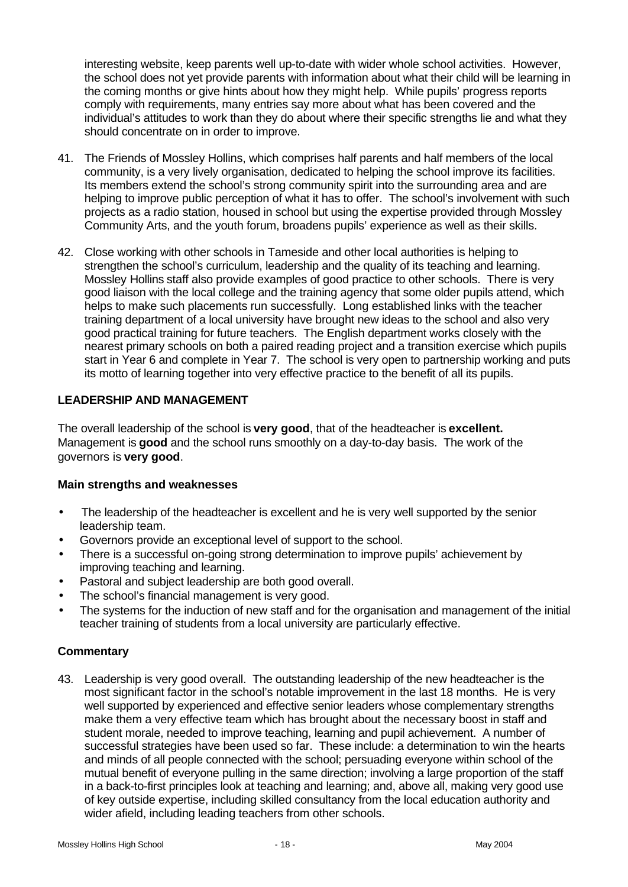interesting website, keep parents well up-to-date with wider whole school activities. However, the school does not yet provide parents with information about what their child will be learning in the coming months or give hints about how they might help. While pupils' progress reports comply with requirements, many entries say more about what has been covered and the individual's attitudes to work than they do about where their specific strengths lie and what they should concentrate on in order to improve.

- 41. The Friends of Mossley Hollins, which comprises half parents and half members of the local community, is a very lively organisation, dedicated to helping the school improve its facilities. Its members extend the school's strong community spirit into the surrounding area and are helping to improve public perception of what it has to offer. The school's involvement with such projects as a radio station, housed in school but using the expertise provided through Mossley Community Arts, and the youth forum, broadens pupils' experience as well as their skills.
- 42. Close working with other schools in Tameside and other local authorities is helping to strengthen the school's curriculum, leadership and the quality of its teaching and learning. Mossley Hollins staff also provide examples of good practice to other schools. There is very good liaison with the local college and the training agency that some older pupils attend, which helps to make such placements run successfully. Long established links with the teacher training department of a local university have brought new ideas to the school and also very good practical training for future teachers. The English department works closely with the nearest primary schools on both a paired reading project and a transition exercise which pupils start in Year 6 and complete in Year 7. The school is very open to partnership working and puts its motto of learning together into very effective practice to the benefit of all its pupils.

## **LEADERSHIP AND MANAGEMENT**

The overall leadership of the school is **very good**, that of the headteacher is **excellent.** Management is **good** and the school runs smoothly on a day-to-day basis. The work of the governors is **very good**.

#### **Main strengths and weaknesses**

- The leadership of the headteacher is excellent and he is very well supported by the senior leadership team.
- Governors provide an exceptional level of support to the school.
- There is a successful on-going strong determination to improve pupils' achievement by improving teaching and learning.
- Pastoral and subject leadership are both good overall.
- The school's financial management is very good.
- The systems for the induction of new staff and for the organisation and management of the initial teacher training of students from a local university are particularly effective.

#### **Commentary**

43. Leadership is very good overall. The outstanding leadership of the new headteacher is the most significant factor in the school's notable improvement in the last 18 months. He is very well supported by experienced and effective senior leaders whose complementary strengths make them a very effective team which has brought about the necessary boost in staff and student morale, needed to improve teaching, learning and pupil achievement. A number of successful strategies have been used so far. These include: a determination to win the hearts and minds of all people connected with the school; persuading everyone within school of the mutual benefit of everyone pulling in the same direction; involving a large proportion of the staff in a back-to-first principles look at teaching and learning; and, above all, making very good use of key outside expertise, including skilled consultancy from the local education authority and wider afield, including leading teachers from other schools.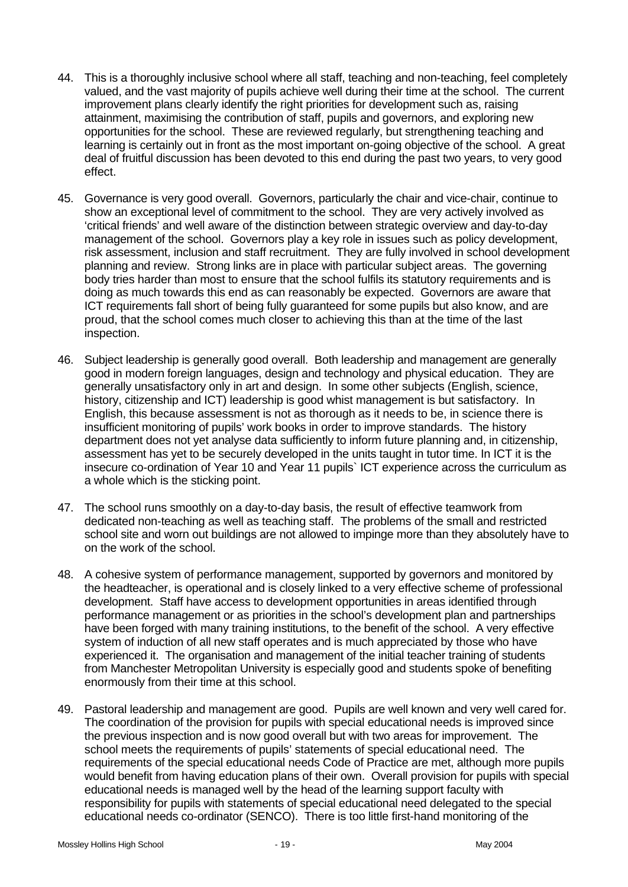- 44. This is a thoroughly inclusive school where all staff, teaching and non-teaching, feel completely valued, and the vast majority of pupils achieve well during their time at the school. The current improvement plans clearly identify the right priorities for development such as, raising attainment, maximising the contribution of staff, pupils and governors, and exploring new opportunities for the school. These are reviewed regularly, but strengthening teaching and learning is certainly out in front as the most important on-going objective of the school. A great deal of fruitful discussion has been devoted to this end during the past two years, to very good effect.
- 45. Governance is very good overall. Governors, particularly the chair and vice-chair, continue to show an exceptional level of commitment to the school. They are very actively involved as 'critical friends' and well aware of the distinction between strategic overview and day-to-day management of the school. Governors play a key role in issues such as policy development, risk assessment, inclusion and staff recruitment. They are fully involved in school development planning and review. Strong links are in place with particular subject areas. The governing body tries harder than most to ensure that the school fulfils its statutory requirements and is doing as much towards this end as can reasonably be expected. Governors are aware that ICT requirements fall short of being fully guaranteed for some pupils but also know, and are proud, that the school comes much closer to achieving this than at the time of the last inspection.
- 46. Subject leadership is generally good overall. Both leadership and management are generally good in modern foreign languages, design and technology and physical education. They are generally unsatisfactory only in art and design. In some other subjects (English, science, history, citizenship and ICT) leadership is good whist management is but satisfactory. In English, this because assessment is not as thorough as it needs to be, in science there is insufficient monitoring of pupils' work books in order to improve standards. The history department does not yet analyse data sufficiently to inform future planning and, in citizenship, assessment has yet to be securely developed in the units taught in tutor time. In ICT it is the insecure co-ordination of Year 10 and Year 11 pupils` ICT experience across the curriculum as a whole which is the sticking point.
- 47. The school runs smoothly on a day-to-day basis, the result of effective teamwork from dedicated non-teaching as well as teaching staff. The problems of the small and restricted school site and worn out buildings are not allowed to impinge more than they absolutely have to on the work of the school.
- 48. A cohesive system of performance management, supported by governors and monitored by the headteacher, is operational and is closely linked to a very effective scheme of professional development. Staff have access to development opportunities in areas identified through performance management or as priorities in the school's development plan and partnerships have been forged with many training institutions, to the benefit of the school. A very effective system of induction of all new staff operates and is much appreciated by those who have experienced it. The organisation and management of the initial teacher training of students from Manchester Metropolitan University is especially good and students spoke of benefiting enormously from their time at this school.
- 49. Pastoral leadership and management are good. Pupils are well known and very well cared for. The coordination of the provision for pupils with special educational needs is improved since the previous inspection and is now good overall but with two areas for improvement. The school meets the requirements of pupils' statements of special educational need. The requirements of the special educational needs Code of Practice are met, although more pupils would benefit from having education plans of their own. Overall provision for pupils with special educational needs is managed well by the head of the learning support faculty with responsibility for pupils with statements of special educational need delegated to the special educational needs co-ordinator (SENCO). There is too little first-hand monitoring of the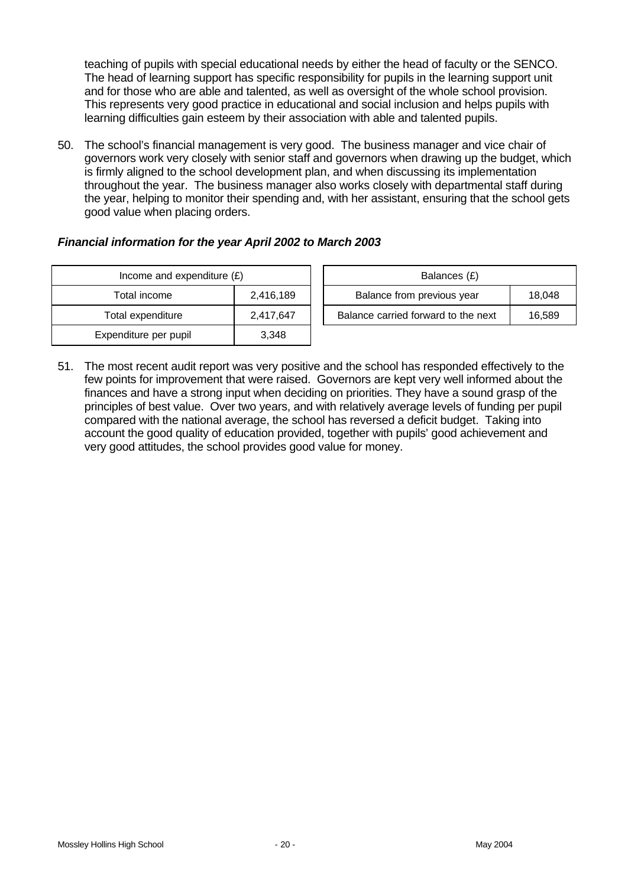teaching of pupils with special educational needs by either the head of faculty or the SENCO. The head of learning support has specific responsibility for pupils in the learning support unit and for those who are able and talented, as well as oversight of the whole school provision. This represents very good practice in educational and social inclusion and helps pupils with learning difficulties gain esteem by their association with able and talented pupils.

50. The school's financial management is very good. The business manager and vice chair of governors work very closely with senior staff and governors when drawing up the budget, which is firmly aligned to the school development plan, and when discussing its implementation throughout the year. The business manager also works closely with departmental staff during the year, helping to monitor their spending and, with her assistant, ensuring that the school gets good value when placing orders.

# *Financial information for the year April 2002 to March 2003*

| Income and expenditure $(E)$ |           |  | Balances (£)                     |
|------------------------------|-----------|--|----------------------------------|
| Total income                 | 2,416,189 |  | Balance from previous year       |
| Total expenditure            | 2,417,647 |  | Balance carried forward to the i |
| Expenditure per pupil        | 3.348     |  |                                  |

| Income and expenditure $(E)$ |           |                            | Balances (£)                        |        |
|------------------------------|-----------|----------------------------|-------------------------------------|--------|
| Total income                 | 2,416,189 | Balance from previous year |                                     | 18.048 |
| Total expenditure            | 2,417,647 |                            | Balance carried forward to the next | 16,589 |
|                              |           |                            |                                     |        |

51. The most recent audit report was very positive and the school has responded effectively to the few points for improvement that were raised. Governors are kept very well informed about the finances and have a strong input when deciding on priorities. They have a sound grasp of the principles of best value. Over two years, and with relatively average levels of funding per pupil compared with the national average, the school has reversed a deficit budget. Taking into account the good quality of education provided, together with pupils' good achievement and very good attitudes, the school provides good value for money.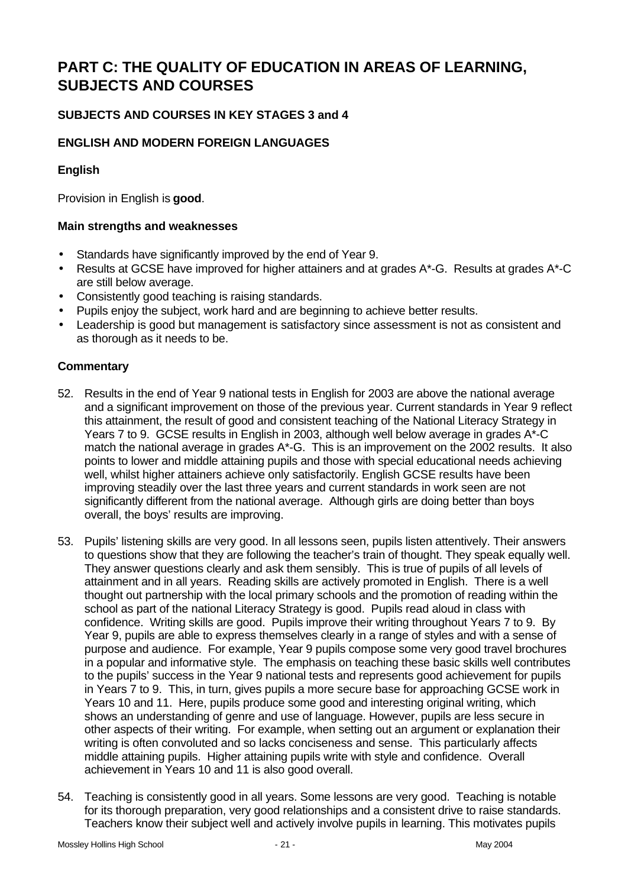# **PART C: THE QUALITY OF EDUCATION IN AREAS OF LEARNING, SUBJECTS AND COURSES**

# **SUBJECTS AND COURSES IN KEY STAGES 3 and 4**

# **ENGLISH AND MODERN FOREIGN LANGUAGES**

# **English**

Provision in English is **good**.

### **Main strengths and weaknesses**

- Standards have significantly improved by the end of Year 9.
- Results at GCSE have improved for higher attainers and at grades A\*-G. Results at grades A\*-C are still below average.
- Consistently good teaching is raising standards.
- Pupils enjoy the subject, work hard and are beginning to achieve better results.
- Leadership is good but management is satisfactory since assessment is not as consistent and as thorough as it needs to be.

- 52. Results in the end of Year 9 national tests in English for 2003 are above the national average and a significant improvement on those of the previous year. Current standards in Year 9 reflect this attainment, the result of good and consistent teaching of the National Literacy Strategy in Years 7 to 9. GCSE results in English in 2003, although well below average in grades A\*-C match the national average in grades A\*-G. This is an improvement on the 2002 results. It also points to lower and middle attaining pupils and those with special educational needs achieving well, whilst higher attainers achieve only satisfactorily. English GCSE results have been improving steadily over the last three years and current standards in work seen are not significantly different from the national average. Although girls are doing better than boys overall, the boys' results are improving.
- 53. Pupils' listening skills are very good. In all lessons seen, pupils listen attentively. Their answers to questions show that they are following the teacher's train of thought. They speak equally well. They answer questions clearly and ask them sensibly. This is true of pupils of all levels of attainment and in all years. Reading skills are actively promoted in English. There is a well thought out partnership with the local primary schools and the promotion of reading within the school as part of the national Literacy Strategy is good. Pupils read aloud in class with confidence. Writing skills are good. Pupils improve their writing throughout Years 7 to 9. By Year 9, pupils are able to express themselves clearly in a range of styles and with a sense of purpose and audience. For example, Year 9 pupils compose some very good travel brochures in a popular and informative style. The emphasis on teaching these basic skills well contributes to the pupils' success in the Year 9 national tests and represents good achievement for pupils in Years 7 to 9. This, in turn, gives pupils a more secure base for approaching GCSE work in Years 10 and 11. Here, pupils produce some good and interesting original writing, which shows an understanding of genre and use of language. However, pupils are less secure in other aspects of their writing. For example, when setting out an argument or explanation their writing is often convoluted and so lacks conciseness and sense. This particularly affects middle attaining pupils. Higher attaining pupils write with style and confidence. Overall achievement in Years 10 and 11 is also good overall.
- 54. Teaching is consistently good in all years. Some lessons are very good. Teaching is notable for its thorough preparation, very good relationships and a consistent drive to raise standards. Teachers know their subject well and actively involve pupils in learning. This motivates pupils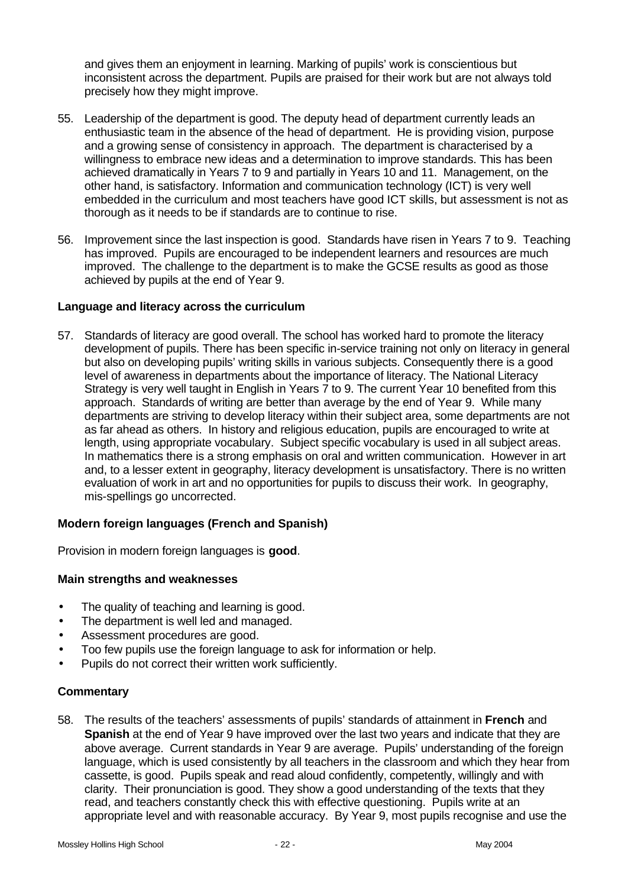and gives them an enjoyment in learning. Marking of pupils' work is conscientious but inconsistent across the department. Pupils are praised for their work but are not always told precisely how they might improve.

- 55. Leadership of the department is good. The deputy head of department currently leads an enthusiastic team in the absence of the head of department. He is providing vision, purpose and a growing sense of consistency in approach. The department is characterised by a willingness to embrace new ideas and a determination to improve standards. This has been achieved dramatically in Years 7 to 9 and partially in Years 10 and 11. Management, on the other hand, is satisfactory. Information and communication technology (ICT) is very well embedded in the curriculum and most teachers have good ICT skills, but assessment is not as thorough as it needs to be if standards are to continue to rise.
- 56. Improvement since the last inspection is good. Standards have risen in Years 7 to 9. Teaching has improved. Pupils are encouraged to be independent learners and resources are much improved. The challenge to the department is to make the GCSE results as good as those achieved by pupils at the end of Year 9.

#### **Language and literacy across the curriculum**

57. Standards of literacy are good overall. The school has worked hard to promote the literacy development of pupils. There has been specific in-service training not only on literacy in general but also on developing pupils' writing skills in various subjects. Consequently there is a good level of awareness in departments about the importance of literacy. The National Literacy Strategy is very well taught in English in Years 7 to 9. The current Year 10 benefited from this approach. Standards of writing are better than average by the end of Year 9. While many departments are striving to develop literacy within their subject area, some departments are not as far ahead as others. In history and religious education, pupils are encouraged to write at length, using appropriate vocabulary. Subject specific vocabulary is used in all subject areas. In mathematics there is a strong emphasis on oral and written communication. However in art and, to a lesser extent in geography, literacy development is unsatisfactory. There is no written evaluation of work in art and no opportunities for pupils to discuss their work. In geography, mis-spellings go uncorrected.

#### **Modern foreign languages (French and Spanish)**

Provision in modern foreign languages is **good**.

#### **Main strengths and weaknesses**

- The quality of teaching and learning is good.
- The department is well led and managed.
- Assessment procedures are good.
- Too few pupils use the foreign language to ask for information or help.
- Pupils do not correct their written work sufficiently.

# **Commentary**

58. The results of the teachers' assessments of pupils' standards of attainment in **French** and **Spanish** at the end of Year 9 have improved over the last two years and indicate that they are above average. Current standards in Year 9 are average. Pupils' understanding of the foreign language, which is used consistently by all teachers in the classroom and which they hear from cassette, is good. Pupils speak and read aloud confidently, competently, willingly and with clarity. Their pronunciation is good. They show a good understanding of the texts that they read, and teachers constantly check this with effective questioning. Pupils write at an appropriate level and with reasonable accuracy. By Year 9, most pupils recognise and use the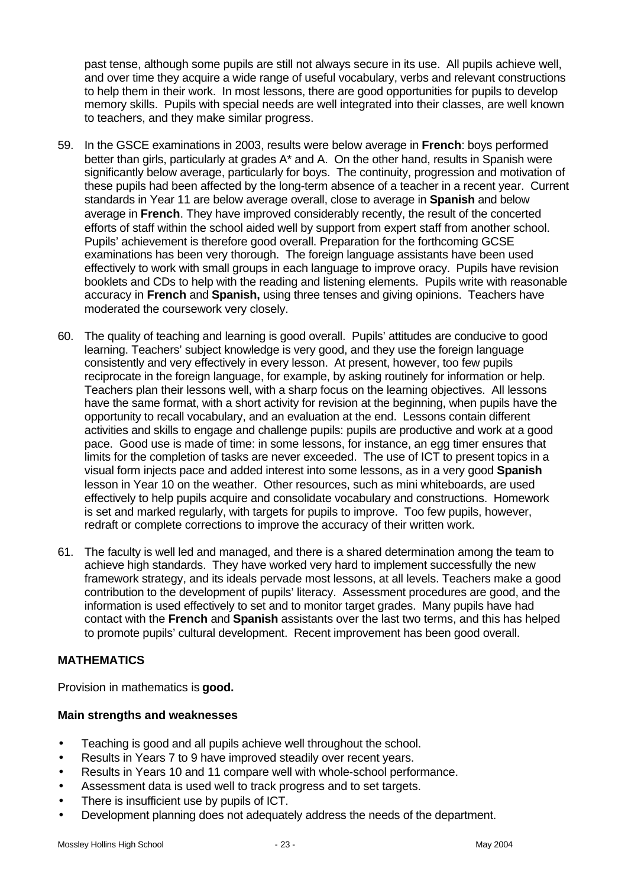past tense, although some pupils are still not always secure in its use. All pupils achieve well, and over time they acquire a wide range of useful vocabulary, verbs and relevant constructions to help them in their work. In most lessons, there are good opportunities for pupils to develop memory skills. Pupils with special needs are well integrated into their classes, are well known to teachers, and they make similar progress.

- 59. In the GSCE examinations in 2003, results were below average in **French**: boys performed better than girls, particularly at grades A<sup>\*</sup> and A. On the other hand, results in Spanish were significantly below average, particularly for boys. The continuity, progression and motivation of these pupils had been affected by the long-term absence of a teacher in a recent year. Current standards in Year 11 are below average overall, close to average in **Spanish** and below average in **French**. They have improved considerably recently, the result of the concerted efforts of staff within the school aided well by support from expert staff from another school. Pupils' achievement is therefore good overall. Preparation for the forthcoming GCSE examinations has been very thorough. The foreign language assistants have been used effectively to work with small groups in each language to improve oracy. Pupils have revision booklets and CDs to help with the reading and listening elements. Pupils write with reasonable accuracy in **French** and **Spanish,** using three tenses and giving opinions. Teachers have moderated the coursework very closely.
- 60. The quality of teaching and learning is good overall. Pupils' attitudes are conducive to good learning. Teachers' subject knowledge is very good, and they use the foreign language consistently and very effectively in every lesson. At present, however, too few pupils reciprocate in the foreign language, for example, by asking routinely for information or help. Teachers plan their lessons well, with a sharp focus on the learning objectives. All lessons have the same format, with a short activity for revision at the beginning, when pupils have the opportunity to recall vocabulary, and an evaluation at the end. Lessons contain different activities and skills to engage and challenge pupils: pupils are productive and work at a good pace. Good use is made of time: in some lessons, for instance, an egg timer ensures that limits for the completion of tasks are never exceeded. The use of ICT to present topics in a visual form injects pace and added interest into some lessons, as in a very good **Spanish** lesson in Year 10 on the weather. Other resources, such as mini whiteboards, are used effectively to help pupils acquire and consolidate vocabulary and constructions. Homework is set and marked regularly, with targets for pupils to improve. Too few pupils, however, redraft or complete corrections to improve the accuracy of their written work.
- 61. The faculty is well led and managed, and there is a shared determination among the team to achieve high standards. They have worked very hard to implement successfully the new framework strategy, and its ideals pervade most lessons, at all levels. Teachers make a good contribution to the development of pupils' literacy. Assessment procedures are good, and the information is used effectively to set and to monitor target grades. Many pupils have had contact with the **French** and **Spanish** assistants over the last two terms, and this has helped to promote pupils' cultural development. Recent improvement has been good overall.

# **MATHEMATICS**

Provision in mathematics is **good.**

#### **Main strengths and weaknesses**

- Teaching is good and all pupils achieve well throughout the school.
- Results in Years 7 to 9 have improved steadily over recent years.
- Results in Years 10 and 11 compare well with whole-school performance.
- Assessment data is used well to track progress and to set targets.
- There is insufficient use by pupils of ICT.
- Development planning does not adequately address the needs of the department.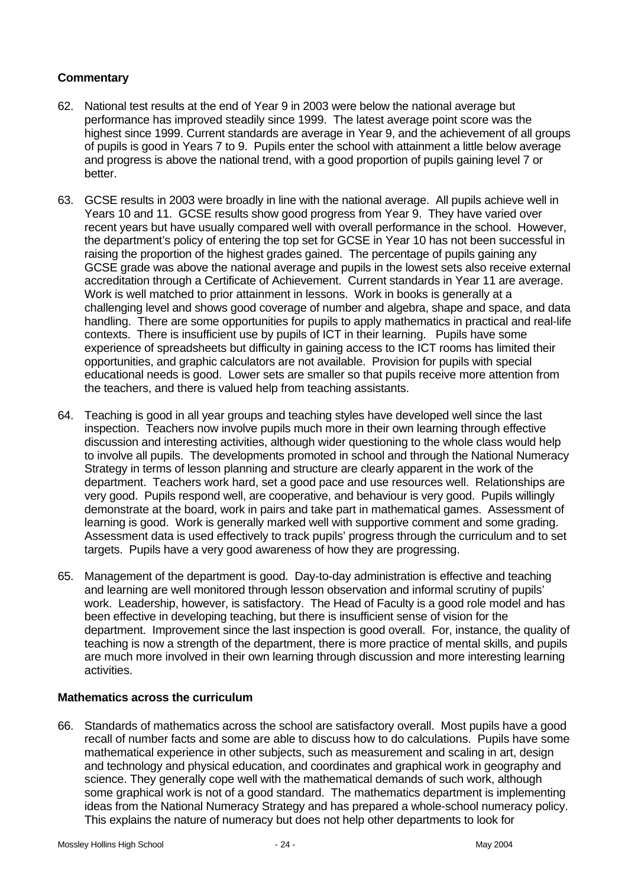### **Commentary**

- 62. National test results at the end of Year 9 in 2003 were below the national average but performance has improved steadily since 1999. The latest average point score was the highest since 1999. Current standards are average in Year 9, and the achievement of all groups of pupils is good in Years 7 to 9. Pupils enter the school with attainment a little below average and progress is above the national trend, with a good proportion of pupils gaining level 7 or better.
- 63. GCSE results in 2003 were broadly in line with the national average. All pupils achieve well in Years 10 and 11. GCSE results show good progress from Year 9. They have varied over recent years but have usually compared well with overall performance in the school. However, the department's policy of entering the top set for GCSE in Year 10 has not been successful in raising the proportion of the highest grades gained. The percentage of pupils gaining any GCSE grade was above the national average and pupils in the lowest sets also receive external accreditation through a Certificate of Achievement. Current standards in Year 11 are average. Work is well matched to prior attainment in lessons. Work in books is generally at a challenging level and shows good coverage of number and algebra, shape and space, and data handling. There are some opportunities for pupils to apply mathematics in practical and real-life contexts. There is insufficient use by pupils of ICT in their learning. Pupils have some experience of spreadsheets but difficulty in gaining access to the ICT rooms has limited their opportunities, and graphic calculators are not available. Provision for pupils with special educational needs is good. Lower sets are smaller so that pupils receive more attention from the teachers, and there is valued help from teaching assistants.
- 64. Teaching is good in all year groups and teaching styles have developed well since the last inspection. Teachers now involve pupils much more in their own learning through effective discussion and interesting activities, although wider questioning to the whole class would help to involve all pupils. The developments promoted in school and through the National Numeracy Strategy in terms of lesson planning and structure are clearly apparent in the work of the department. Teachers work hard, set a good pace and use resources well. Relationships are very good. Pupils respond well, are cooperative, and behaviour is very good. Pupils willingly demonstrate at the board, work in pairs and take part in mathematical games. Assessment of learning is good. Work is generally marked well with supportive comment and some grading. Assessment data is used effectively to track pupils' progress through the curriculum and to set targets. Pupils have a very good awareness of how they are progressing.
- 65. Management of the department is good. Day-to-day administration is effective and teaching and learning are well monitored through lesson observation and informal scrutiny of pupils' work. Leadership, however, is satisfactory. The Head of Faculty is a good role model and has been effective in developing teaching, but there is insufficient sense of vision for the department. Improvement since the last inspection is good overall. For, instance, the quality of teaching is now a strength of the department, there is more practice of mental skills, and pupils are much more involved in their own learning through discussion and more interesting learning activities.

#### **Mathematics across the curriculum**

66. Standards of mathematics across the school are satisfactory overall. Most pupils have a good recall of number facts and some are able to discuss how to do calculations. Pupils have some mathematical experience in other subjects, such as measurement and scaling in art, design and technology and physical education, and coordinates and graphical work in geography and science. They generally cope well with the mathematical demands of such work, although some graphical work is not of a good standard. The mathematics department is implementing ideas from the National Numeracy Strategy and has prepared a whole-school numeracy policy. This explains the nature of numeracy but does not help other departments to look for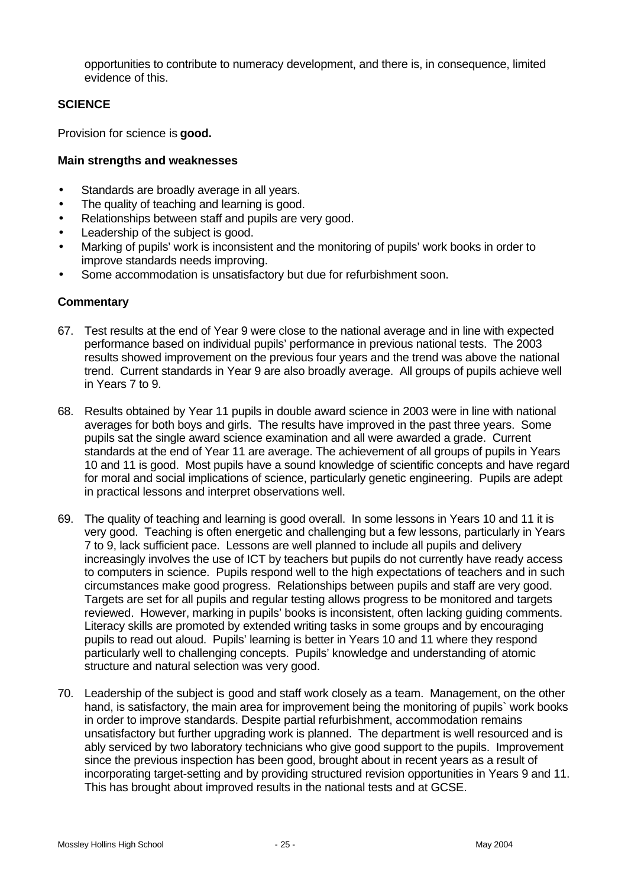opportunities to contribute to numeracy development, and there is, in consequence, limited evidence of this.

## **SCIENCE**

Provision for science is **good.**

#### **Main strengths and weaknesses**

- Standards are broadly average in all years.
- The quality of teaching and learning is good.
- Relationships between staff and pupils are very good.
- Leadership of the subject is good.
- Marking of pupils' work is inconsistent and the monitoring of pupils' work books in order to improve standards needs improving.
- Some accommodation is unsatisfactory but due for refurbishment soon.

- 67. Test results at the end of Year 9 were close to the national average and in line with expected performance based on individual pupils' performance in previous national tests. The 2003 results showed improvement on the previous four years and the trend was above the national trend. Current standards in Year 9 are also broadly average. All groups of pupils achieve well in Years 7 to 9.
- 68. Results obtained by Year 11 pupils in double award science in 2003 were in line with national averages for both boys and girls. The results have improved in the past three years. Some pupils sat the single award science examination and all were awarded a grade. Current standards at the end of Year 11 are average. The achievement of all groups of pupils in Years 10 and 11 is good. Most pupils have a sound knowledge of scientific concepts and have regard for moral and social implications of science, particularly genetic engineering. Pupils are adept in practical lessons and interpret observations well.
- 69. The quality of teaching and learning is good overall. In some lessons in Years 10 and 11 it is very good. Teaching is often energetic and challenging but a few lessons, particularly in Years 7 to 9, lack sufficient pace. Lessons are well planned to include all pupils and delivery increasingly involves the use of ICT by teachers but pupils do not currently have ready access to computers in science. Pupils respond well to the high expectations of teachers and in such circumstances make good progress. Relationships between pupils and staff are very good. Targets are set for all pupils and regular testing allows progress to be monitored and targets reviewed. However, marking in pupils' books is inconsistent, often lacking guiding comments. Literacy skills are promoted by extended writing tasks in some groups and by encouraging pupils to read out aloud. Pupils' learning is better in Years 10 and 11 where they respond particularly well to challenging concepts. Pupils' knowledge and understanding of atomic structure and natural selection was very good.
- 70. Leadership of the subject is good and staff work closely as a team. Management, on the other hand, is satisfactory, the main area for improvement being the monitoring of pupils` work books in order to improve standards. Despite partial refurbishment, accommodation remains unsatisfactory but further upgrading work is planned. The department is well resourced and is ably serviced by two laboratory technicians who give good support to the pupils. Improvement since the previous inspection has been good, brought about in recent years as a result of incorporating target-setting and by providing structured revision opportunities in Years 9 and 11. This has brought about improved results in the national tests and at GCSE.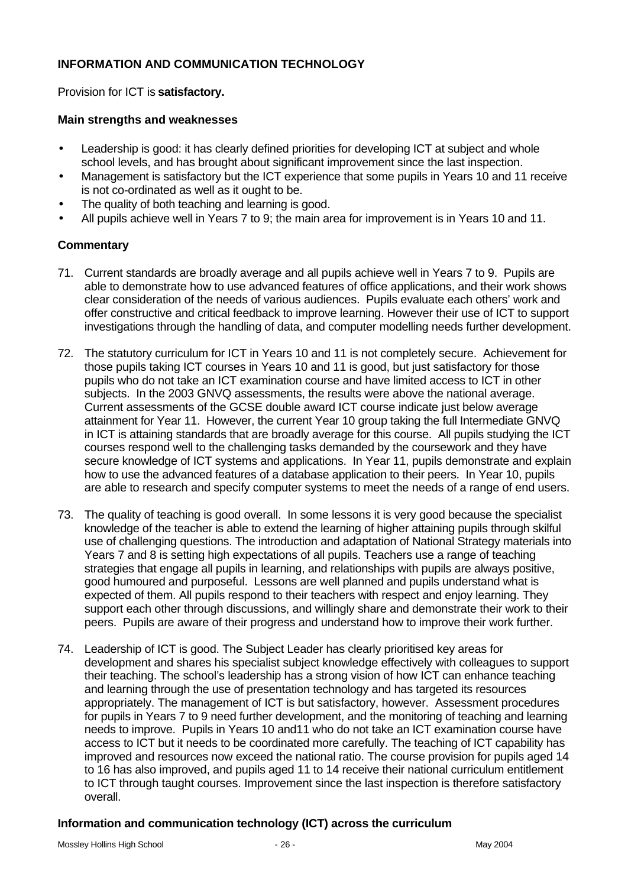## **INFORMATION AND COMMUNICATION TECHNOLOGY**

Provision for ICT is **satisfactory.**

#### **Main strengths and weaknesses**

- Leadership is good: it has clearly defined priorities for developing ICT at subject and whole school levels, and has brought about significant improvement since the last inspection.
- Management is satisfactory but the ICT experience that some pupils in Years 10 and 11 receive is not co-ordinated as well as it ought to be.
- The quality of both teaching and learning is good.
- All pupils achieve well in Years 7 to 9; the main area for improvement is in Years 10 and 11.

#### **Commentary**

- 71. Current standards are broadly average and all pupils achieve well in Years 7 to 9. Pupils are able to demonstrate how to use advanced features of office applications, and their work shows clear consideration of the needs of various audiences. Pupils evaluate each others' work and offer constructive and critical feedback to improve learning. However their use of ICT to support investigations through the handling of data, and computer modelling needs further development.
- 72. The statutory curriculum for ICT in Years 10 and 11 is not completely secure. Achievement for those pupils taking ICT courses in Years 10 and 11 is good, but just satisfactory for those pupils who do not take an ICT examination course and have limited access to ICT in other subjects. In the 2003 GNVQ assessments, the results were above the national average. Current assessments of the GCSE double award ICT course indicate just below average attainment for Year 11. However, the current Year 10 group taking the full Intermediate GNVQ in ICT is attaining standards that are broadly average for this course. All pupils studying the ICT courses respond well to the challenging tasks demanded by the coursework and they have secure knowledge of ICT systems and applications. In Year 11, pupils demonstrate and explain how to use the advanced features of a database application to their peers. In Year 10, pupils are able to research and specify computer systems to meet the needs of a range of end users.
- 73. The quality of teaching is good overall. In some lessons it is very good because the specialist knowledge of the teacher is able to extend the learning of higher attaining pupils through skilful use of challenging questions. The introduction and adaptation of National Strategy materials into Years 7 and 8 is setting high expectations of all pupils. Teachers use a range of teaching strategies that engage all pupils in learning, and relationships with pupils are always positive, good humoured and purposeful. Lessons are well planned and pupils understand what is expected of them. All pupils respond to their teachers with respect and enjoy learning. They support each other through discussions, and willingly share and demonstrate their work to their peers. Pupils are aware of their progress and understand how to improve their work further.
- 74. Leadership of ICT is good. The Subject Leader has clearly prioritised key areas for development and shares his specialist subject knowledge effectively with colleagues to support their teaching. The school's leadership has a strong vision of how ICT can enhance teaching and learning through the use of presentation technology and has targeted its resources appropriately. The management of ICT is but satisfactory, however. Assessment procedures for pupils in Years 7 to 9 need further development, and the monitoring of teaching and learning needs to improve. Pupils in Years 10 and11 who do not take an ICT examination course have access to ICT but it needs to be coordinated more carefully. The teaching of ICT capability has improved and resources now exceed the national ratio. The course provision for pupils aged 14 to 16 has also improved, and pupils aged 11 to 14 receive their national curriculum entitlement to ICT through taught courses. Improvement since the last inspection is therefore satisfactory overall.

# **Information and communication technology (ICT) across the curriculum**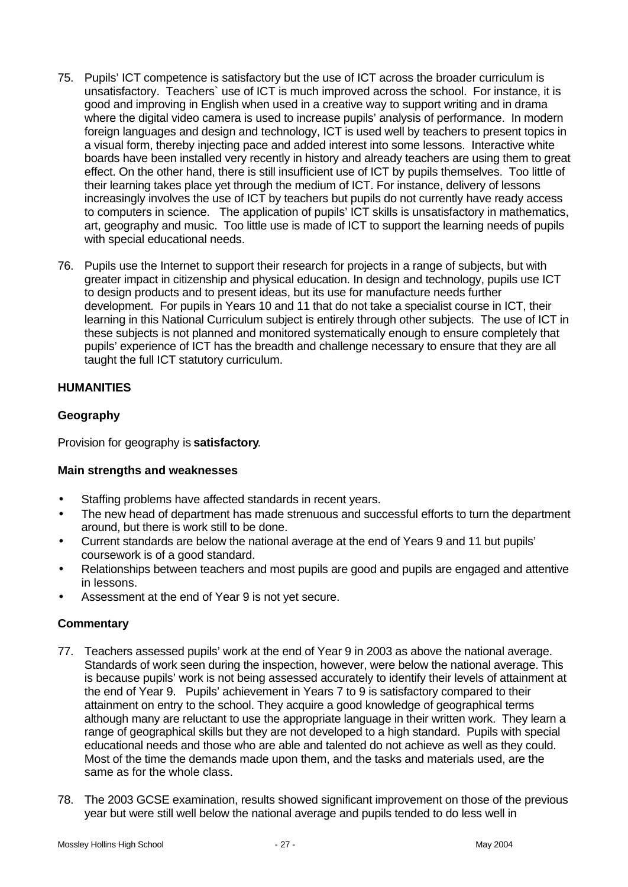- 75. Pupils' ICT competence is satisfactory but the use of ICT across the broader curriculum is unsatisfactory. Teachers` use of ICT is much improved across the school. For instance, it is good and improving in English when used in a creative way to support writing and in drama where the digital video camera is used to increase pupils' analysis of performance. In modern foreign languages and design and technology, ICT is used well by teachers to present topics in a visual form, thereby injecting pace and added interest into some lessons. Interactive white boards have been installed very recently in history and already teachers are using them to great effect. On the other hand, there is still insufficient use of ICT by pupils themselves. Too little of their learning takes place yet through the medium of ICT. For instance, delivery of lessons increasingly involves the use of ICT by teachers but pupils do not currently have ready access to computers in science. The application of pupils' ICT skills is unsatisfactory in mathematics, art, geography and music. Too little use is made of ICT to support the learning needs of pupils with special educational needs.
- 76. Pupils use the Internet to support their research for projects in a range of subjects, but with greater impact in citizenship and physical education. In design and technology, pupils use ICT to design products and to present ideas, but its use for manufacture needs further development. For pupils in Years 10 and 11 that do not take a specialist course in ICT, their learning in this National Curriculum subject is entirely through other subjects. The use of ICT in these subjects is not planned and monitored systematically enough to ensure completely that pupils' experience of ICT has the breadth and challenge necessary to ensure that they are all taught the full ICT statutory curriculum.

## **HUMANITIES**

## **Geography**

Provision for geography is **satisfactory**.

#### **Main strengths and weaknesses**

- Staffing problems have affected standards in recent years.
- The new head of department has made strenuous and successful efforts to turn the department around, but there is work still to be done.
- Current standards are below the national average at the end of Years 9 and 11 but pupils' coursework is of a good standard.
- Relationships between teachers and most pupils are good and pupils are engaged and attentive in lessons.
- Assessment at the end of Year 9 is not yet secure.

- 77. Teachers assessed pupils' work at the end of Year 9 in 2003 as above the national average. Standards of work seen during the inspection, however, were below the national average. This is because pupils' work is not being assessed accurately to identify their levels of attainment at the end of Year 9. Pupils' achievement in Years 7 to 9 is satisfactory compared to their attainment on entry to the school. They acquire a good knowledge of geographical terms although many are reluctant to use the appropriate language in their written work. They learn a range of geographical skills but they are not developed to a high standard. Pupils with special educational needs and those who are able and talented do not achieve as well as they could. Most of the time the demands made upon them, and the tasks and materials used, are the same as for the whole class.
- 78. The 2003 GCSE examination, results showed significant improvement on those of the previous year but were still well below the national average and pupils tended to do less well in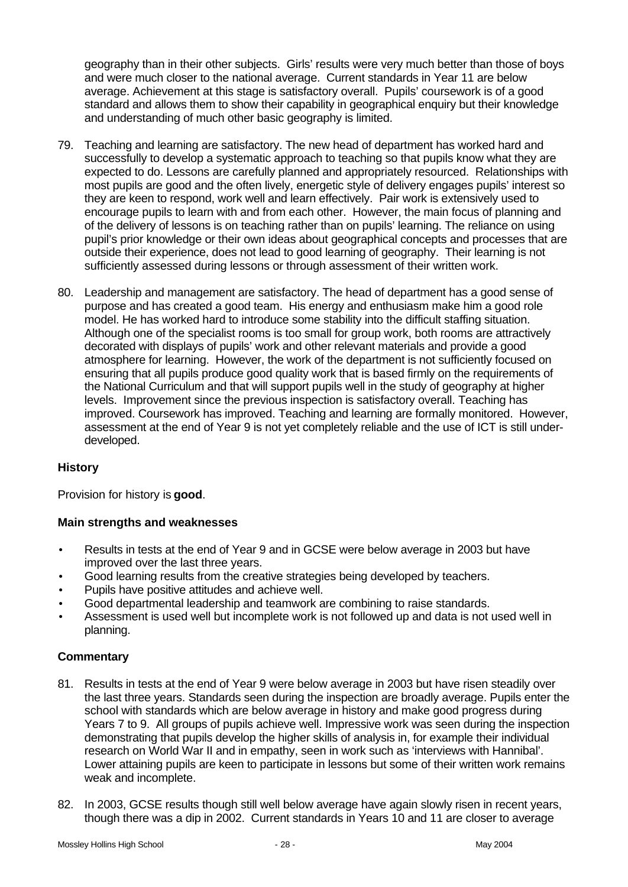geography than in their other subjects. Girls' results were very much better than those of boys and were much closer to the national average. Current standards in Year 11 are below average. Achievement at this stage is satisfactory overall. Pupils' coursework is of a good standard and allows them to show their capability in geographical enquiry but their knowledge and understanding of much other basic geography is limited.

- 79. Teaching and learning are satisfactory. The new head of department has worked hard and successfully to develop a systematic approach to teaching so that pupils know what they are expected to do. Lessons are carefully planned and appropriately resourced. Relationships with most pupils are good and the often lively, energetic style of delivery engages pupils' interest so they are keen to respond, work well and learn effectively. Pair work is extensively used to encourage pupils to learn with and from each other. However, the main focus of planning and of the delivery of lessons is on teaching rather than on pupils' learning. The reliance on using pupil's prior knowledge or their own ideas about geographical concepts and processes that are outside their experience, does not lead to good learning of geography. Their learning is not sufficiently assessed during lessons or through assessment of their written work.
- 80. Leadership and management are satisfactory. The head of department has a good sense of purpose and has created a good team. His energy and enthusiasm make him a good role model. He has worked hard to introduce some stability into the difficult staffing situation. Although one of the specialist rooms is too small for group work, both rooms are attractively decorated with displays of pupils' work and other relevant materials and provide a good atmosphere for learning. However, the work of the department is not sufficiently focused on ensuring that all pupils produce good quality work that is based firmly on the requirements of the National Curriculum and that will support pupils well in the study of geography at higher levels. Improvement since the previous inspection is satisfactory overall. Teaching has improved. Coursework has improved. Teaching and learning are formally monitored. However, assessment at the end of Year 9 is not yet completely reliable and the use of ICT is still underdeveloped.

#### **History**

Provision for history is **good**.

#### **Main strengths and weaknesses**

- Results in tests at the end of Year 9 and in GCSE were below average in 2003 but have improved over the last three years.
- Good learning results from the creative strategies being developed by teachers.
- Pupils have positive attitudes and achieve well.
- Good departmental leadership and teamwork are combining to raise standards.
- Assessment is used well but incomplete work is not followed up and data is not used well in planning.

- 81. Results in tests at the end of Year 9 were below average in 2003 but have risen steadily over the last three years. Standards seen during the inspection are broadly average. Pupils enter the school with standards which are below average in history and make good progress during Years 7 to 9. All groups of pupils achieve well. Impressive work was seen during the inspection demonstrating that pupils develop the higher skills of analysis in, for example their individual research on World War II and in empathy, seen in work such as 'interviews with Hannibal'. Lower attaining pupils are keen to participate in lessons but some of their written work remains weak and incomplete.
- 82. In 2003, GCSE results though still well below average have again slowly risen in recent years, though there was a dip in 2002. Current standards in Years 10 and 11 are closer to average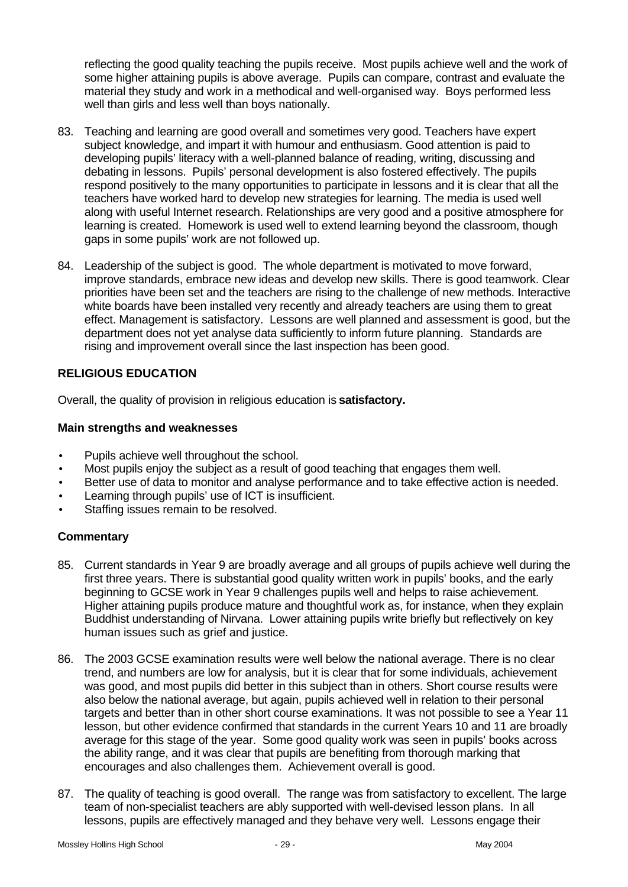reflecting the good quality teaching the pupils receive. Most pupils achieve well and the work of some higher attaining pupils is above average. Pupils can compare, contrast and evaluate the material they study and work in a methodical and well-organised way. Boys performed less well than girls and less well than boys nationally.

- 83. Teaching and learning are good overall and sometimes very good. Teachers have expert subject knowledge, and impart it with humour and enthusiasm. Good attention is paid to developing pupils' literacy with a well-planned balance of reading, writing, discussing and debating in lessons. Pupils' personal development is also fostered effectively. The pupils respond positively to the many opportunities to participate in lessons and it is clear that all the teachers have worked hard to develop new strategies for learning. The media is used well along with useful Internet research. Relationships are very good and a positive atmosphere for learning is created. Homework is used well to extend learning beyond the classroom, though gaps in some pupils' work are not followed up.
- 84. Leadership of the subject is good. The whole department is motivated to move forward, improve standards, embrace new ideas and develop new skills. There is good teamwork. Clear priorities have been set and the teachers are rising to the challenge of new methods. Interactive white boards have been installed very recently and already teachers are using them to great effect. Management is satisfactory. Lessons are well planned and assessment is good, but the department does not yet analyse data sufficiently to inform future planning. Standards are rising and improvement overall since the last inspection has been good.

# **RELIGIOUS EDUCATION**

Overall, the quality of provision in religious education is **satisfactory.**

#### **Main strengths and weaknesses**

- Pupils achieve well throughout the school.
- Most pupils enjoy the subject as a result of good teaching that engages them well.
- Better use of data to monitor and analyse performance and to take effective action is needed.
- Learning through pupils' use of ICT is insufficient.
- Staffing issues remain to be resolved.

- 85. Current standards in Year 9 are broadly average and all groups of pupils achieve well during the first three years. There is substantial good quality written work in pupils' books, and the early beginning to GCSE work in Year 9 challenges pupils well and helps to raise achievement. Higher attaining pupils produce mature and thoughtful work as, for instance, when they explain Buddhist understanding of Nirvana. Lower attaining pupils write briefly but reflectively on key human issues such as grief and justice.
- 86. The 2003 GCSE examination results were well below the national average. There is no clear trend, and numbers are low for analysis, but it is clear that for some individuals, achievement was good, and most pupils did better in this subject than in others. Short course results were also below the national average, but again, pupils achieved well in relation to their personal targets and better than in other short course examinations. It was not possible to see a Year 11 lesson, but other evidence confirmed that standards in the current Years 10 and 11 are broadly average for this stage of the year. Some good quality work was seen in pupils' books across the ability range, and it was clear that pupils are benefiting from thorough marking that encourages and also challenges them. Achievement overall is good.
- 87. The quality of teaching is good overall. The range was from satisfactory to excellent. The large team of non-specialist teachers are ably supported with well-devised lesson plans. In all lessons, pupils are effectively managed and they behave very well. Lessons engage their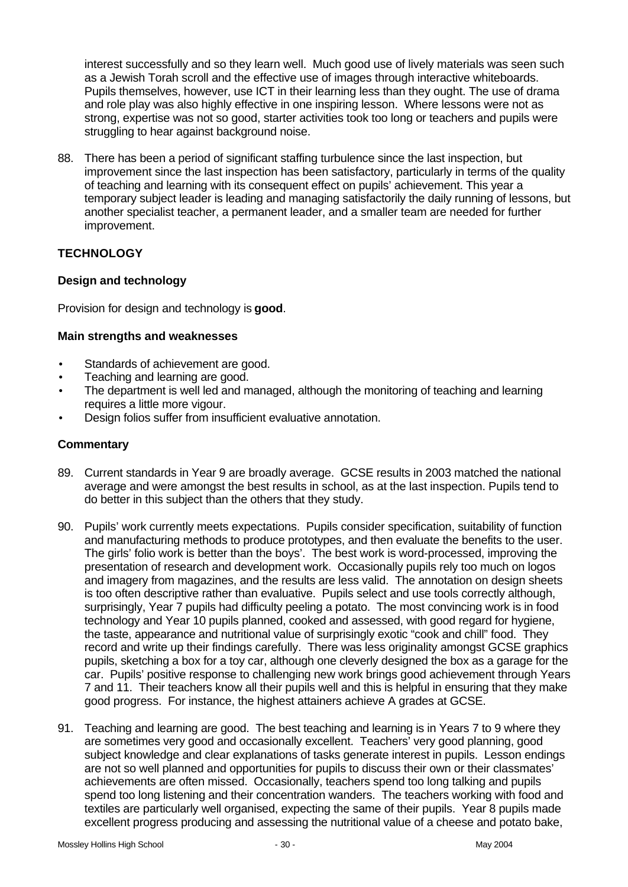interest successfully and so they learn well. Much good use of lively materials was seen such as a Jewish Torah scroll and the effective use of images through interactive whiteboards. Pupils themselves, however, use ICT in their learning less than they ought. The use of drama and role play was also highly effective in one inspiring lesson. Where lessons were not as strong, expertise was not so good, starter activities took too long or teachers and pupils were struggling to hear against background noise.

88. There has been a period of significant staffing turbulence since the last inspection, but improvement since the last inspection has been satisfactory, particularly in terms of the quality of teaching and learning with its consequent effect on pupils' achievement. This year a temporary subject leader is leading and managing satisfactorily the daily running of lessons, but another specialist teacher, a permanent leader, and a smaller team are needed for further improvement.

# **TECHNOLOGY**

# **Design and technology**

Provision for design and technology is **good**.

#### **Main strengths and weaknesses**

- Standards of achievement are good.
- Teaching and learning are good.
- The department is well led and managed, although the monitoring of teaching and learning requires a little more vigour.
- Design folios suffer from insufficient evaluative annotation.

- 89. Current standards in Year 9 are broadly average. GCSE results in 2003 matched the national average and were amongst the best results in school, as at the last inspection. Pupils tend to do better in this subject than the others that they study.
- 90. Pupils' work currently meets expectations. Pupils consider specification, suitability of function and manufacturing methods to produce prototypes, and then evaluate the benefits to the user. The girls' folio work is better than the boys'. The best work is word-processed, improving the presentation of research and development work. Occasionally pupils rely too much on logos and imagery from magazines, and the results are less valid. The annotation on design sheets is too often descriptive rather than evaluative. Pupils select and use tools correctly although, surprisingly, Year 7 pupils had difficulty peeling a potato. The most convincing work is in food technology and Year 10 pupils planned, cooked and assessed, with good regard for hygiene, the taste, appearance and nutritional value of surprisingly exotic "cook and chill" food. They record and write up their findings carefully. There was less originality amongst GCSE graphics pupils, sketching a box for a toy car, although one cleverly designed the box as a garage for the car. Pupils' positive response to challenging new work brings good achievement through Years 7 and 11. Their teachers know all their pupils well and this is helpful in ensuring that they make good progress. For instance, the highest attainers achieve A grades at GCSE.
- 91. Teaching and learning are good. The best teaching and learning is in Years 7 to 9 where they are sometimes very good and occasionally excellent. Teachers' very good planning, good subject knowledge and clear explanations of tasks generate interest in pupils. Lesson endings are not so well planned and opportunities for pupils to discuss their own or their classmates' achievements are often missed. Occasionally, teachers spend too long talking and pupils spend too long listening and their concentration wanders. The teachers working with food and textiles are particularly well organised, expecting the same of their pupils. Year 8 pupils made excellent progress producing and assessing the nutritional value of a cheese and potato bake,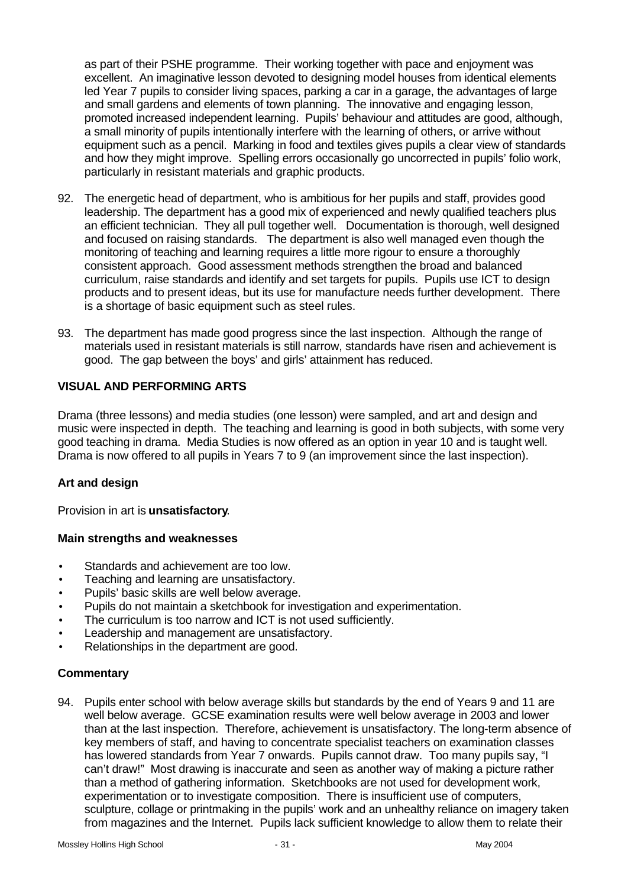as part of their PSHE programme. Their working together with pace and enjoyment was excellent. An imaginative lesson devoted to designing model houses from identical elements led Year 7 pupils to consider living spaces, parking a car in a garage, the advantages of large and small gardens and elements of town planning. The innovative and engaging lesson, promoted increased independent learning. Pupils' behaviour and attitudes are good, although, a small minority of pupils intentionally interfere with the learning of others, or arrive without equipment such as a pencil. Marking in food and textiles gives pupils a clear view of standards and how they might improve. Spelling errors occasionally go uncorrected in pupils' folio work, particularly in resistant materials and graphic products.

- 92. The energetic head of department, who is ambitious for her pupils and staff, provides good leadership. The department has a good mix of experienced and newly qualified teachers plus an efficient technician. They all pull together well. Documentation is thorough, well designed and focused on raising standards. The department is also well managed even though the monitoring of teaching and learning requires a little more rigour to ensure a thoroughly consistent approach. Good assessment methods strengthen the broad and balanced curriculum, raise standards and identify and set targets for pupils. Pupils use ICT to design products and to present ideas, but its use for manufacture needs further development. There is a shortage of basic equipment such as steel rules.
- 93. The department has made good progress since the last inspection. Although the range of materials used in resistant materials is still narrow, standards have risen and achievement is good. The gap between the boys' and girls' attainment has reduced.

## **VISUAL AND PERFORMING ARTS**

Drama (three lessons) and media studies (one lesson) were sampled, and art and design and music were inspected in depth. The teaching and learning is good in both subjects, with some very good teaching in drama. Media Studies is now offered as an option in year 10 and is taught well. Drama is now offered to all pupils in Years 7 to 9 (an improvement since the last inspection).

#### **Art and design**

Provision in art is **unsatisfactory**.

#### **Main strengths and weaknesses**

- Standards and achievement are too low.
- Teaching and learning are unsatisfactory.
- Pupils' basic skills are well below average.
- Pupils do not maintain a sketchbook for investigation and experimentation.
- The curriculum is too narrow and ICT is not used sufficiently.
- Leadership and management are unsatisfactory.
- Relationships in the department are good.

# **Commentary**

94. Pupils enter school with below average skills but standards by the end of Years 9 and 11 are well below average. GCSE examination results were well below average in 2003 and lower than at the last inspection. Therefore, achievement is unsatisfactory. The long-term absence of key members of staff, and having to concentrate specialist teachers on examination classes has lowered standards from Year 7 onwards. Pupils cannot draw. Too many pupils say, "I can't draw!" Most drawing is inaccurate and seen as another way of making a picture rather than a method of gathering information. Sketchbooks are not used for development work, experimentation or to investigate composition. There is insufficient use of computers, sculpture, collage or printmaking in the pupils' work and an unhealthy reliance on imagery taken from magazines and the Internet. Pupils lack sufficient knowledge to allow them to relate their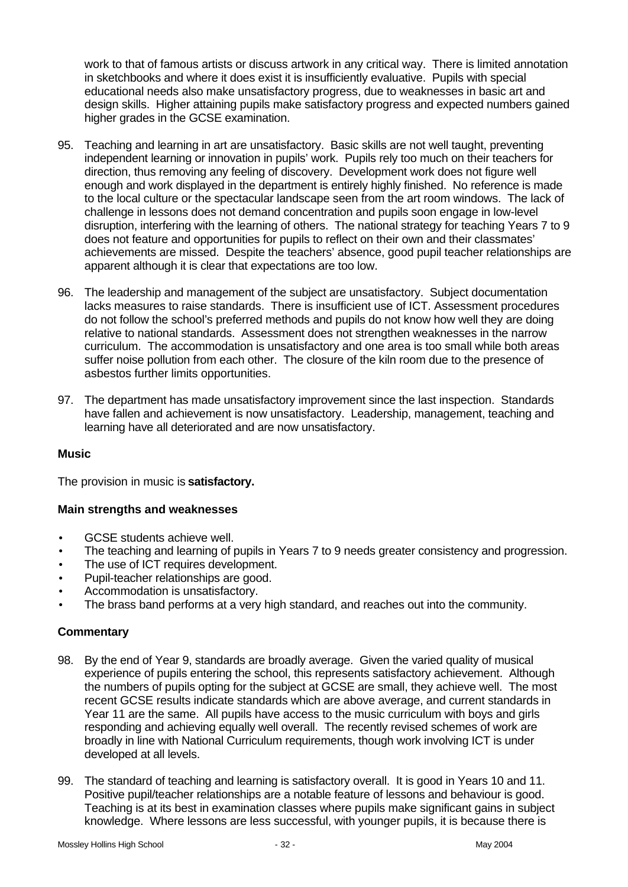work to that of famous artists or discuss artwork in any critical way. There is limited annotation in sketchbooks and where it does exist it is insufficiently evaluative. Pupils with special educational needs also make unsatisfactory progress, due to weaknesses in basic art and design skills. Higher attaining pupils make satisfactory progress and expected numbers gained higher grades in the GCSE examination.

- 95. Teaching and learning in art are unsatisfactory. Basic skills are not well taught, preventing independent learning or innovation in pupils' work. Pupils rely too much on their teachers for direction, thus removing any feeling of discovery. Development work does not figure well enough and work displayed in the department is entirely highly finished. No reference is made to the local culture or the spectacular landscape seen from the art room windows. The lack of challenge in lessons does not demand concentration and pupils soon engage in low-level disruption, interfering with the learning of others. The national strategy for teaching Years 7 to 9 does not feature and opportunities for pupils to reflect on their own and their classmates' achievements are missed. Despite the teachers' absence, good pupil teacher relationships are apparent although it is clear that expectations are too low.
- 96. The leadership and management of the subject are unsatisfactory. Subject documentation lacks measures to raise standards. There is insufficient use of ICT. Assessment procedures do not follow the school's preferred methods and pupils do not know how well they are doing relative to national standards. Assessment does not strengthen weaknesses in the narrow curriculum. The accommodation is unsatisfactory and one area is too small while both areas suffer noise pollution from each other. The closure of the kiln room due to the presence of asbestos further limits opportunities.
- 97. The department has made unsatisfactory improvement since the last inspection. Standards have fallen and achievement is now unsatisfactory. Leadership, management, teaching and learning have all deteriorated and are now unsatisfactory.

#### **Music**

The provision in music is **satisfactory.**

#### **Main strengths and weaknesses**

- GCSE students achieve well.
- The teaching and learning of pupils in Years 7 to 9 needs greater consistency and progression.
- The use of ICT requires development.
- Pupil-teacher relationships are good.
- Accommodation is unsatisfactory.
- The brass band performs at a very high standard, and reaches out into the community.

- 98. By the end of Year 9, standards are broadly average. Given the varied quality of musical experience of pupils entering the school, this represents satisfactory achievement. Although the numbers of pupils opting for the subject at GCSE are small, they achieve well. The most recent GCSE results indicate standards which are above average, and current standards in Year 11 are the same. All pupils have access to the music curriculum with boys and girls responding and achieving equally well overall. The recently revised schemes of work are broadly in line with National Curriculum requirements, though work involving ICT is under developed at all levels.
- 99. The standard of teaching and learning is satisfactory overall. It is good in Years 10 and 11. Positive pupil/teacher relationships are a notable feature of lessons and behaviour is good. Teaching is at its best in examination classes where pupils make significant gains in subject knowledge. Where lessons are less successful, with younger pupils, it is because there is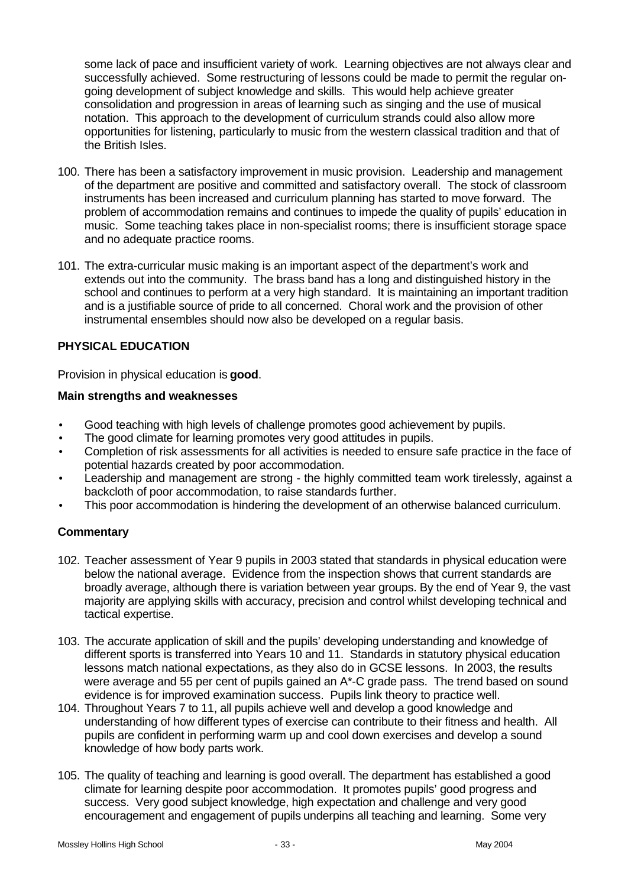some lack of pace and insufficient variety of work. Learning objectives are not always clear and successfully achieved. Some restructuring of lessons could be made to permit the regular ongoing development of subject knowledge and skills. This would help achieve greater consolidation and progression in areas of learning such as singing and the use of musical notation. This approach to the development of curriculum strands could also allow more opportunities for listening, particularly to music from the western classical tradition and that of the British Isles.

- 100. There has been a satisfactory improvement in music provision. Leadership and management of the department are positive and committed and satisfactory overall. The stock of classroom instruments has been increased and curriculum planning has started to move forward. The problem of accommodation remains and continues to impede the quality of pupils' education in music. Some teaching takes place in non-specialist rooms; there is insufficient storage space and no adequate practice rooms.
- 101. The extra-curricular music making is an important aspect of the department's work and extends out into the community. The brass band has a long and distinguished history in the school and continues to perform at a very high standard. It is maintaining an important tradition and is a justifiable source of pride to all concerned. Choral work and the provision of other instrumental ensembles should now also be developed on a regular basis.

# **PHYSICAL EDUCATION**

Provision in physical education is **good**.

#### **Main strengths and weaknesses**

- Good teaching with high levels of challenge promotes good achievement by pupils.
- The good climate for learning promotes very good attitudes in pupils.
- Completion of risk assessments for all activities is needed to ensure safe practice in the face of potential hazards created by poor accommodation.
- Leadership and management are strong the highly committed team work tirelessly, against a backcloth of poor accommodation, to raise standards further.
- This poor accommodation is hindering the development of an otherwise balanced curriculum.

- 102. Teacher assessment of Year 9 pupils in 2003 stated that standards in physical education were below the national average. Evidence from the inspection shows that current standards are broadly average, although there is variation between year groups. By the end of Year 9, the vast majority are applying skills with accuracy, precision and control whilst developing technical and tactical expertise.
- 103. The accurate application of skill and the pupils' developing understanding and knowledge of different sports is transferred into Years 10 and 11. Standards in statutory physical education lessons match national expectations, as they also do in GCSE lessons. In 2003, the results were average and 55 per cent of pupils gained an A\*-C grade pass. The trend based on sound evidence is for improved examination success. Pupils link theory to practice well.
- 104. Throughout Years 7 to 11, all pupils achieve well and develop a good knowledge and understanding of how different types of exercise can contribute to their fitness and health. All pupils are confident in performing warm up and cool down exercises and develop a sound knowledge of how body parts work.
- 105. The quality of teaching and learning is good overall. The department has established a good climate for learning despite poor accommodation. It promotes pupils' good progress and success. Very good subject knowledge, high expectation and challenge and very good encouragement and engagement of pupils underpins all teaching and learning. Some very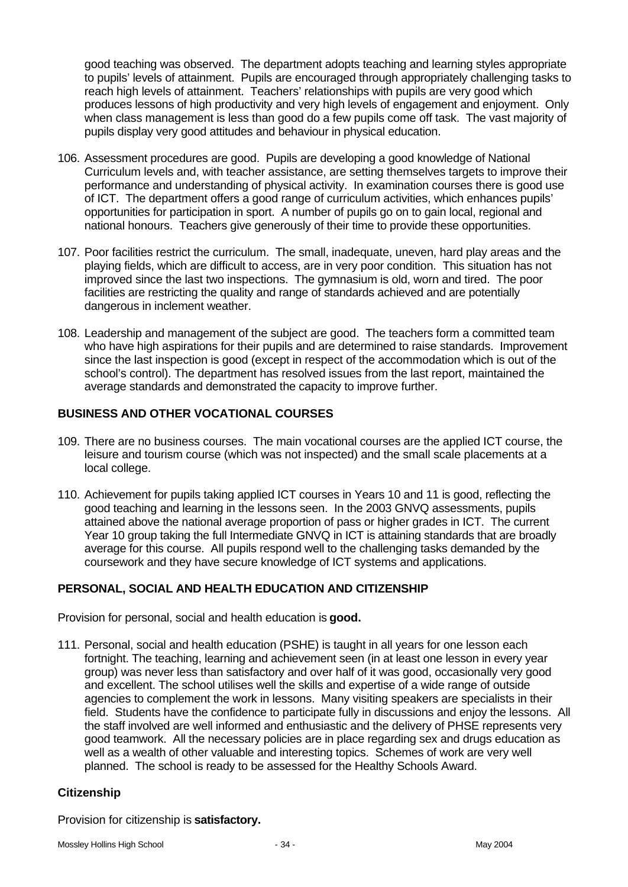good teaching was observed. The department adopts teaching and learning styles appropriate to pupils' levels of attainment. Pupils are encouraged through appropriately challenging tasks to reach high levels of attainment. Teachers' relationships with pupils are very good which produces lessons of high productivity and very high levels of engagement and enjoyment. Only when class management is less than good do a few pupils come off task. The vast majority of pupils display very good attitudes and behaviour in physical education.

- 106. Assessment procedures are good. Pupils are developing a good knowledge of National Curriculum levels and, with teacher assistance, are setting themselves targets to improve their performance and understanding of physical activity. In examination courses there is good use of ICT. The department offers a good range of curriculum activities, which enhances pupils' opportunities for participation in sport. A number of pupils go on to gain local, regional and national honours. Teachers give generously of their time to provide these opportunities.
- 107. Poor facilities restrict the curriculum. The small, inadequate, uneven, hard play areas and the playing fields, which are difficult to access, are in very poor condition. This situation has not improved since the last two inspections. The gymnasium is old, worn and tired. The poor facilities are restricting the quality and range of standards achieved and are potentially dangerous in inclement weather.
- 108. Leadership and management of the subject are good. The teachers form a committed team who have high aspirations for their pupils and are determined to raise standards. Improvement since the last inspection is good (except in respect of the accommodation which is out of the school's control). The department has resolved issues from the last report, maintained the average standards and demonstrated the capacity to improve further.

## **BUSINESS AND OTHER VOCATIONAL COURSES**

- 109. There are no business courses. The main vocational courses are the applied ICT course, the leisure and tourism course (which was not inspected) and the small scale placements at a local college.
- 110. Achievement for pupils taking applied ICT courses in Years 10 and 11 is good, reflecting the good teaching and learning in the lessons seen. In the 2003 GNVQ assessments, pupils attained above the national average proportion of pass or higher grades in ICT. The current Year 10 group taking the full Intermediate GNVQ in ICT is attaining standards that are broadly average for this course. All pupils respond well to the challenging tasks demanded by the coursework and they have secure knowledge of ICT systems and applications.

# **PERSONAL, SOCIAL AND HEALTH EDUCATION AND CITIZENSHIP**

Provision for personal, social and health education is **good.**

111. Personal, social and health education (PSHE) is taught in all years for one lesson each fortnight. The teaching, learning and achievement seen (in at least one lesson in every year group) was never less than satisfactory and over half of it was good, occasionally very good and excellent. The school utilises well the skills and expertise of a wide range of outside agencies to complement the work in lessons. Many visiting speakers are specialists in their field. Students have the confidence to participate fully in discussions and enjoy the lessons. All the staff involved are well informed and enthusiastic and the delivery of PHSE represents very good teamwork. All the necessary policies are in place regarding sex and drugs education as well as a wealth of other valuable and interesting topics. Schemes of work are very well planned. The school is ready to be assessed for the Healthy Schools Award.

#### **Citizenship**

Provision for citizenship is **satisfactory.**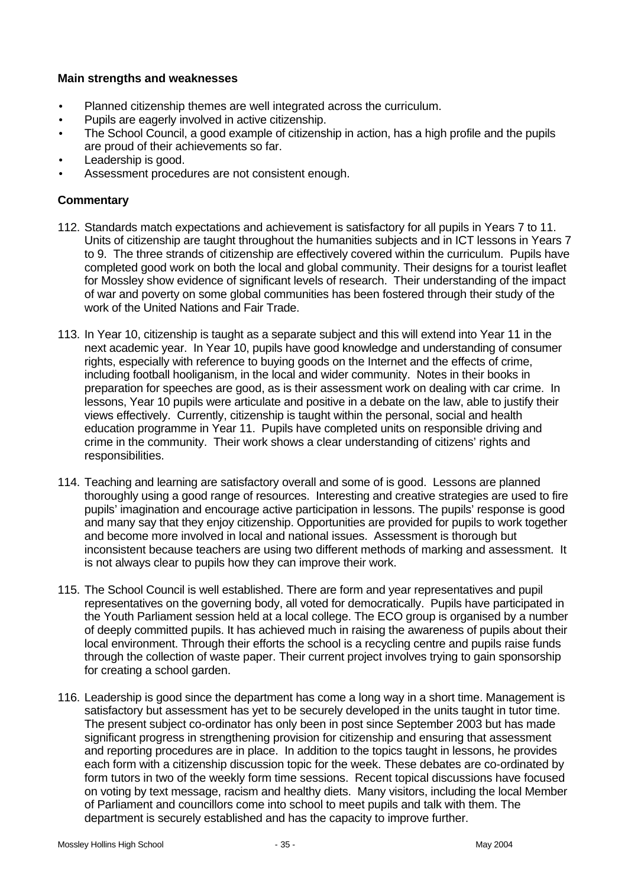## **Main strengths and weaknesses**

- Planned citizenship themes are well integrated across the curriculum.
- Pupils are eagerly involved in active citizenship.
- The School Council, a good example of citizenship in action, has a high profile and the pupils are proud of their achievements so far.
- Leadership is good.
- Assessment procedures are not consistent enough.

- 112. Standards match expectations and achievement is satisfactory for all pupils in Years 7 to 11. Units of citizenship are taught throughout the humanities subjects and in ICT lessons in Years 7 to 9. The three strands of citizenship are effectively covered within the curriculum. Pupils have completed good work on both the local and global community. Their designs for a tourist leaflet for Mossley show evidence of significant levels of research. Their understanding of the impact of war and poverty on some global communities has been fostered through their study of the work of the United Nations and Fair Trade.
- 113. In Year 10, citizenship is taught as a separate subject and this will extend into Year 11 in the next academic year. In Year 10, pupils have good knowledge and understanding of consumer rights, especially with reference to buying goods on the Internet and the effects of crime, including football hooliganism, in the local and wider community. Notes in their books in preparation for speeches are good, as is their assessment work on dealing with car crime. In lessons, Year 10 pupils were articulate and positive in a debate on the law, able to justify their views effectively. Currently, citizenship is taught within the personal, social and health education programme in Year 11. Pupils have completed units on responsible driving and crime in the community. Their work shows a clear understanding of citizens' rights and responsibilities.
- 114. Teaching and learning are satisfactory overall and some of is good. Lessons are planned thoroughly using a good range of resources. Interesting and creative strategies are used to fire pupils' imagination and encourage active participation in lessons. The pupils' response is good and many say that they enjoy citizenship. Opportunities are provided for pupils to work together and become more involved in local and national issues. Assessment is thorough but inconsistent because teachers are using two different methods of marking and assessment. It is not always clear to pupils how they can improve their work.
- 115. The School Council is well established. There are form and year representatives and pupil representatives on the governing body, all voted for democratically. Pupils have participated in the Youth Parliament session held at a local college. The ECO group is organised by a number of deeply committed pupils. It has achieved much in raising the awareness of pupils about their local environment. Through their efforts the school is a recycling centre and pupils raise funds through the collection of waste paper. Their current project involves trying to gain sponsorship for creating a school garden.
- 116. Leadership is good since the department has come a long way in a short time. Management is satisfactory but assessment has yet to be securely developed in the units taught in tutor time. The present subject co-ordinator has only been in post since September 2003 but has made significant progress in strengthening provision for citizenship and ensuring that assessment and reporting procedures are in place. In addition to the topics taught in lessons, he provides each form with a citizenship discussion topic for the week. These debates are co-ordinated by form tutors in two of the weekly form time sessions. Recent topical discussions have focused on voting by text message, racism and healthy diets. Many visitors, including the local Member of Parliament and councillors come into school to meet pupils and talk with them. The department is securely established and has the capacity to improve further.